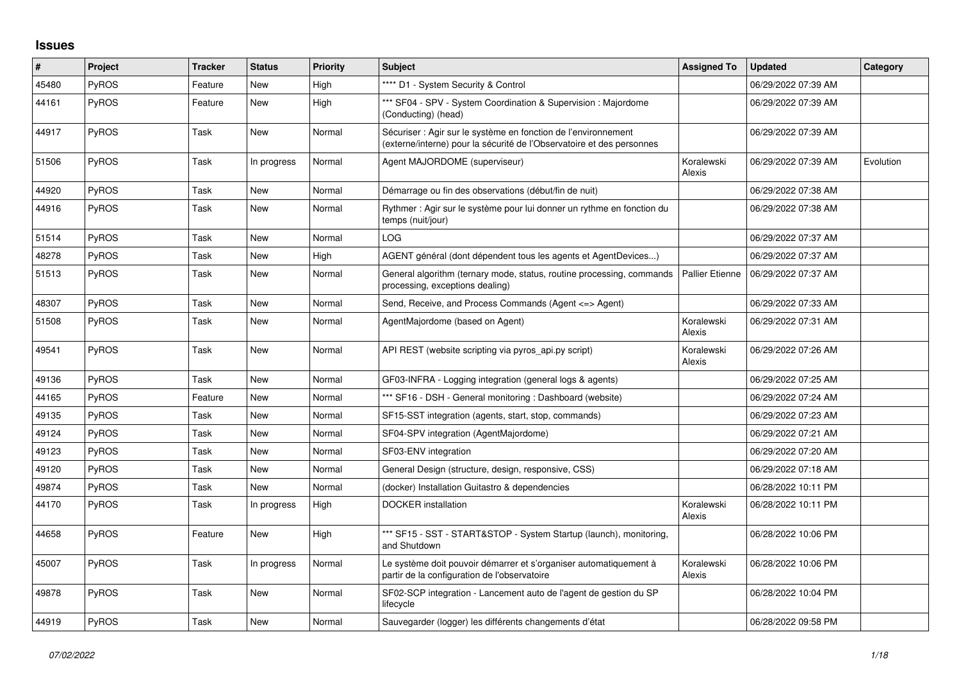## **Issues**

| #     | Project      | Tracker | <b>Status</b> | <b>Priority</b> | <b>Subject</b>                                                                                                                          | <b>Assigned To</b>     | <b>Updated</b>      | Category  |
|-------|--------------|---------|---------------|-----------------|-----------------------------------------------------------------------------------------------------------------------------------------|------------------------|---------------------|-----------|
| 45480 | <b>PyROS</b> | Feature | <b>New</b>    | High            | **** D1 - System Security & Control                                                                                                     |                        | 06/29/2022 07:39 AM |           |
| 44161 | PyROS        | Feature | <b>New</b>    | High            | *** SF04 - SPV - System Coordination & Supervision : Majordome<br>(Conducting) (head)                                                   |                        | 06/29/2022 07:39 AM |           |
| 44917 | PyROS        | Task    | <b>New</b>    | Normal          | Sécuriser : Agir sur le système en fonction de l'environnement<br>(externe/interne) pour la sécurité de l'Observatoire et des personnes |                        | 06/29/2022 07:39 AM |           |
| 51506 | <b>PyROS</b> | Task    | In progress   | Normal          | Agent MAJORDOME (superviseur)                                                                                                           | Koralewski<br>Alexis   | 06/29/2022 07:39 AM | Evolution |
| 44920 | <b>PyROS</b> | Task    | <b>New</b>    | Normal          | Démarrage ou fin des observations (début/fin de nuit)                                                                                   |                        | 06/29/2022 07:38 AM |           |
| 44916 | <b>PyROS</b> | Task    | <b>New</b>    | Normal          | Rythmer: Agir sur le système pour lui donner un rythme en fonction du<br>temps (nuit/jour)                                              |                        | 06/29/2022 07:38 AM |           |
| 51514 | PyROS        | Task    | <b>New</b>    | Normal          | LOG                                                                                                                                     |                        | 06/29/2022 07:37 AM |           |
| 48278 | PyROS        | Task    | <b>New</b>    | High            | AGENT général (dont dépendent tous les agents et AgentDevices)                                                                          |                        | 06/29/2022 07:37 AM |           |
| 51513 | <b>PyROS</b> | Task    | New           | Normal          | General algorithm (ternary mode, status, routine processing, commands<br>processing, exceptions dealing)                                | <b>Pallier Etienne</b> | 06/29/2022 07:37 AM |           |
| 48307 | <b>PyROS</b> | Task    | <b>New</b>    | Normal          | Send, Receive, and Process Commands (Agent <=> Agent)                                                                                   |                        | 06/29/2022 07:33 AM |           |
| 51508 | <b>PyROS</b> | Task    | New           | Normal          | AgentMajordome (based on Agent)                                                                                                         | Koralewski<br>Alexis   | 06/29/2022 07:31 AM |           |
| 49541 | <b>PyROS</b> | Task    | <b>New</b>    | Normal          | API REST (website scripting via pyros_api.py script)                                                                                    | Koralewski<br>Alexis   | 06/29/2022 07:26 AM |           |
| 49136 | PyROS        | Task    | <b>New</b>    | Normal          | GF03-INFRA - Logging integration (general logs & agents)                                                                                |                        | 06/29/2022 07:25 AM |           |
| 44165 | <b>PyROS</b> | Feature | <b>New</b>    | Normal          | *** SF16 - DSH - General monitoring : Dashboard (website)                                                                               |                        | 06/29/2022 07:24 AM |           |
| 49135 | <b>PyROS</b> | Task    | <b>New</b>    | Normal          | SF15-SST integration (agents, start, stop, commands)                                                                                    |                        | 06/29/2022 07:23 AM |           |
| 49124 | <b>PyROS</b> | Task    | <b>New</b>    | Normal          | SF04-SPV integration (AgentMajordome)                                                                                                   |                        | 06/29/2022 07:21 AM |           |
| 49123 | <b>PyROS</b> | Task    | <b>New</b>    | Normal          | SF03-ENV integration                                                                                                                    |                        | 06/29/2022 07:20 AM |           |
| 49120 | PyROS        | Task    | <b>New</b>    | Normal          | General Design (structure, design, responsive, CSS)                                                                                     |                        | 06/29/2022 07:18 AM |           |
| 49874 | <b>PyROS</b> | Task    | <b>New</b>    | Normal          | (docker) Installation Guitastro & dependencies                                                                                          |                        | 06/28/2022 10:11 PM |           |
| 44170 | <b>PyROS</b> | Task    | In progress   | High            | <b>DOCKER</b> installation                                                                                                              | Koralewski<br>Alexis   | 06/28/2022 10:11 PM |           |
| 44658 | <b>PyROS</b> | Feature | New           | High            | *** SF15 - SST - START&STOP - System Startup (launch), monitoring,<br>and Shutdown                                                      |                        | 06/28/2022 10:06 PM |           |
| 45007 | <b>PyROS</b> | Task    | In progress   | Normal          | Le système doit pouvoir démarrer et s'organiser automatiquement à<br>partir de la configuration de l'observatoire                       | Koralewski<br>Alexis   | 06/28/2022 10:06 PM |           |
| 49878 | PyROS        | Task    | <b>New</b>    | Normal          | SF02-SCP integration - Lancement auto de l'agent de gestion du SP<br>lifecycle                                                          |                        | 06/28/2022 10:04 PM |           |
| 44919 | PyROS        | Task    | <b>New</b>    | Normal          | Sauvegarder (logger) les différents changements d'état                                                                                  |                        | 06/28/2022 09:58 PM |           |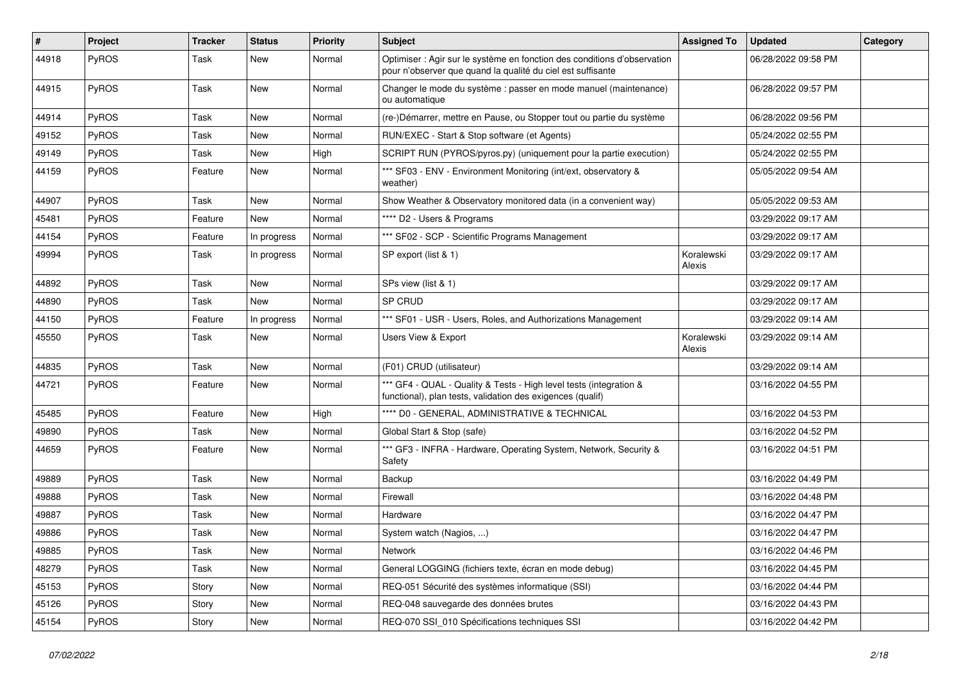| #     | Project      | <b>Tracker</b> | <b>Status</b> | <b>Priority</b> | <b>Subject</b>                                                                                                                          | <b>Assigned To</b>   | <b>Updated</b>      | Category |
|-------|--------------|----------------|---------------|-----------------|-----------------------------------------------------------------------------------------------------------------------------------------|----------------------|---------------------|----------|
| 44918 | PyROS        | Task           | New           | Normal          | Optimiser : Agir sur le système en fonction des conditions d'observation<br>pour n'observer que quand la qualité du ciel est suffisante |                      | 06/28/2022 09:58 PM |          |
| 44915 | PyROS        | Task           | New           | Normal          | Changer le mode du système : passer en mode manuel (maintenance)<br>ou automatique                                                      |                      | 06/28/2022 09:57 PM |          |
| 44914 | PyROS        | Task           | New           | Normal          | (re-)Démarrer, mettre en Pause, ou Stopper tout ou partie du système                                                                    |                      | 06/28/2022 09:56 PM |          |
| 49152 | <b>PyROS</b> | Task           | New           | Normal          | RUN/EXEC - Start & Stop software (et Agents)                                                                                            |                      | 05/24/2022 02:55 PM |          |
| 49149 | PyROS        | Task           | New           | High            | SCRIPT RUN (PYROS/pyros.py) (uniquement pour la partie execution)                                                                       |                      | 05/24/2022 02:55 PM |          |
| 44159 | <b>PyROS</b> | Feature        | New           | Normal          | *** SF03 - ENV - Environment Monitoring (int/ext, observatory &<br>weather)                                                             |                      | 05/05/2022 09:54 AM |          |
| 44907 | PyROS        | Task           | New           | Normal          | Show Weather & Observatory monitored data (in a convenient way)                                                                         |                      | 05/05/2022 09:53 AM |          |
| 45481 | <b>PyROS</b> | Feature        | New           | Normal          | **** D2 - Users & Programs                                                                                                              |                      | 03/29/2022 09:17 AM |          |
| 44154 | PyROS        | Feature        | In progress   | Normal          | *** SF02 - SCP - Scientific Programs Management                                                                                         |                      | 03/29/2022 09:17 AM |          |
| 49994 | PyROS        | Task           | In progress   | Normal          | SP export (list & 1)                                                                                                                    | Koralewski<br>Alexis | 03/29/2022 09:17 AM |          |
| 44892 | PyROS        | Task           | <b>New</b>    | Normal          | SPs view (list & 1)                                                                                                                     |                      | 03/29/2022 09:17 AM |          |
| 44890 | PyROS        | Task           | New           | Normal          | SP CRUD                                                                                                                                 |                      | 03/29/2022 09:17 AM |          |
| 44150 | PyROS        | Feature        | In progress   | Normal          | *** SF01 - USR - Users, Roles, and Authorizations Management                                                                            |                      | 03/29/2022 09:14 AM |          |
| 45550 | PyROS        | Task           | New           | Normal          | <b>Users View &amp; Export</b>                                                                                                          | Koralewski<br>Alexis | 03/29/2022 09:14 AM |          |
| 44835 | PyROS        | Task           | New           | Normal          | (F01) CRUD (utilisateur)                                                                                                                |                      | 03/29/2022 09:14 AM |          |
| 44721 | PyROS        | Feature        | New           | Normal          | *** GF4 - QUAL - Quality & Tests - High level tests (integration &<br>functional), plan tests, validation des exigences (qualif)        |                      | 03/16/2022 04:55 PM |          |
| 45485 | PyROS        | Feature        | New           | High            | **** D0 - GENERAL, ADMINISTRATIVE & TECHNICAL                                                                                           |                      | 03/16/2022 04:53 PM |          |
| 49890 | PyROS        | Task           | New           | Normal          | Global Start & Stop (safe)                                                                                                              |                      | 03/16/2022 04:52 PM |          |
| 44659 | PyROS        | Feature        | New           | Normal          | *** GF3 - INFRA - Hardware, Operating System, Network, Security &<br>Safety                                                             |                      | 03/16/2022 04:51 PM |          |
| 49889 | <b>PyROS</b> | Task           | New           | Normal          | Backup                                                                                                                                  |                      | 03/16/2022 04:49 PM |          |
| 49888 | PyROS        | Task           | New           | Normal          | Firewall                                                                                                                                |                      | 03/16/2022 04:48 PM |          |
| 49887 | PyROS        | Task           | New           | Normal          | Hardware                                                                                                                                |                      | 03/16/2022 04:47 PM |          |
| 49886 | PyROS        | Task           | New           | Normal          | System watch (Nagios, )                                                                                                                 |                      | 03/16/2022 04:47 PM |          |
| 49885 | PyROS        | Task           | New           | Normal          | Network                                                                                                                                 |                      | 03/16/2022 04:46 PM |          |
| 48279 | PyROS        | Task           | New           | Normal          | General LOGGING (fichiers texte, écran en mode debug)                                                                                   |                      | 03/16/2022 04:45 PM |          |
| 45153 | PyROS        | Story          | New           | Normal          | REQ-051 Sécurité des systèmes informatique (SSI)                                                                                        |                      | 03/16/2022 04:44 PM |          |
| 45126 | PyROS        | Story          | New           | Normal          | REQ-048 sauvegarde des données brutes                                                                                                   |                      | 03/16/2022 04:43 PM |          |
| 45154 | PyROS        | Story          | New           | Normal          | REQ-070 SSI_010 Spécifications techniques SSI                                                                                           |                      | 03/16/2022 04:42 PM |          |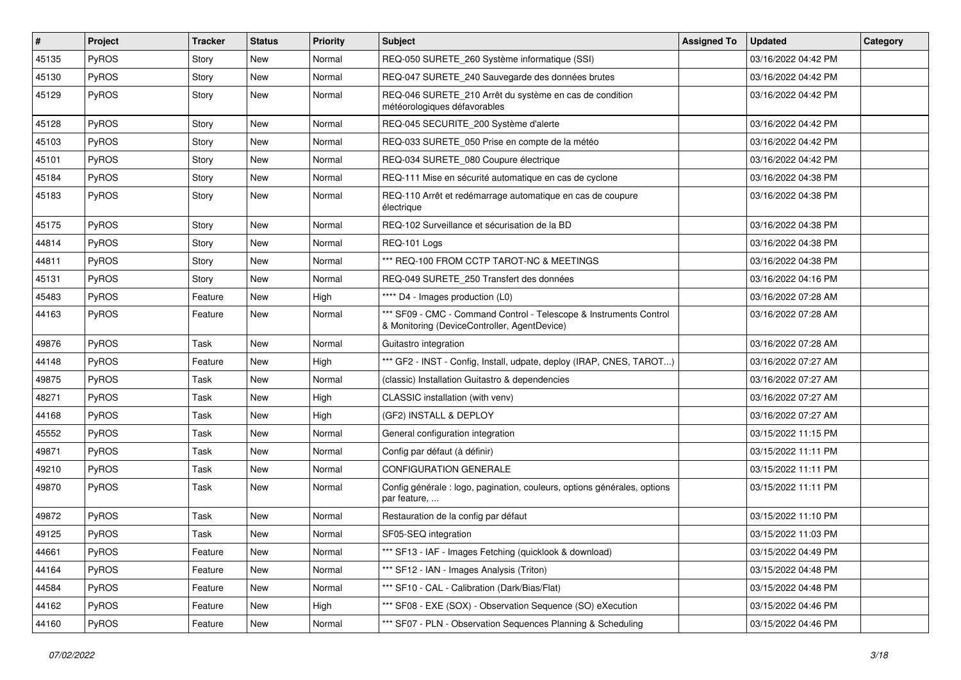| #     | Project      | <b>Tracker</b> | <b>Status</b> | <b>Priority</b> | <b>Subject</b>                                                                                                     | <b>Assigned To</b> | <b>Updated</b>      | Category |
|-------|--------------|----------------|---------------|-----------------|--------------------------------------------------------------------------------------------------------------------|--------------------|---------------------|----------|
| 45135 | PyROS        | Story          | <b>New</b>    | Normal          | REQ-050 SURETE_260 Système informatique (SSI)                                                                      |                    | 03/16/2022 04:42 PM |          |
| 45130 | PyROS        | Story          | New           | Normal          | REQ-047 SURETE_240 Sauvegarde des données brutes                                                                   |                    | 03/16/2022 04:42 PM |          |
| 45129 | <b>PyROS</b> | Story          | New           | Normal          | REQ-046 SURETE 210 Arrêt du système en cas de condition<br>météorologiques défavorables                            |                    | 03/16/2022 04:42 PM |          |
| 45128 | PyROS        | Story          | <b>New</b>    | Normal          | REQ-045 SECURITE_200 Système d'alerte                                                                              |                    | 03/16/2022 04:42 PM |          |
| 45103 | <b>PyROS</b> | Story          | New           | Normal          | REQ-033 SURETE_050 Prise en compte de la météo                                                                     |                    | 03/16/2022 04:42 PM |          |
| 45101 | PyROS        | Story          | <b>New</b>    | Normal          | REQ-034 SURETE_080 Coupure électrique                                                                              |                    | 03/16/2022 04:42 PM |          |
| 45184 | PyROS        | Story          | New           | Normal          | REQ-111 Mise en sécurité automatique en cas de cyclone                                                             |                    | 03/16/2022 04:38 PM |          |
| 45183 | PyROS        | Story          | New           | Normal          | REQ-110 Arrêt et redémarrage automatique en cas de coupure<br>électrique                                           |                    | 03/16/2022 04:38 PM |          |
| 45175 | PyROS        | Story          | New           | Normal          | REQ-102 Surveillance et sécurisation de la BD                                                                      |                    | 03/16/2022 04:38 PM |          |
| 44814 | PyROS        | Story          | New           | Normal          | REQ-101 Logs                                                                                                       |                    | 03/16/2022 04:38 PM |          |
| 44811 | PyROS        | Story          | <b>New</b>    | Normal          | *** REQ-100 FROM CCTP TAROT-NC & MEETINGS                                                                          |                    | 03/16/2022 04:38 PM |          |
| 45131 | PyROS        | Story          | New           | Normal          | REQ-049 SURETE 250 Transfert des données                                                                           |                    | 03/16/2022 04:16 PM |          |
| 45483 | PyROS        | Feature        | <b>New</b>    | High            | **** D4 - Images production (L0)                                                                                   |                    | 03/16/2022 07:28 AM |          |
| 44163 | PyROS        | Feature        | New           | Normal          | *** SF09 - CMC - Command Control - Telescope & Instruments Control<br>& Monitoring (DeviceController, AgentDevice) |                    | 03/16/2022 07:28 AM |          |
| 49876 | PyROS        | Task           | New           | Normal          | Guitastro integration                                                                                              |                    | 03/16/2022 07:28 AM |          |
| 44148 | <b>PyROS</b> | Feature        | <b>New</b>    | High            | *** GF2 - INST - Config, Install, udpate, deploy (IRAP, CNES, TAROT)                                               |                    | 03/16/2022 07:27 AM |          |
| 49875 | PyROS        | Task           | New           | Normal          | (classic) Installation Guitastro & dependencies                                                                    |                    | 03/16/2022 07:27 AM |          |
| 48271 | PyROS        | Task           | New           | High            | CLASSIC installation (with venv)                                                                                   |                    | 03/16/2022 07:27 AM |          |
| 44168 | PyROS        | Task           | New           | High            | (GF2) INSTALL & DEPLOY                                                                                             |                    | 03/16/2022 07:27 AM |          |
| 45552 | PyROS        | Task           | New           | Normal          | General configuration integration                                                                                  |                    | 03/15/2022 11:15 PM |          |
| 49871 | PyROS        | Task           | New           | Normal          | Config par défaut (à définir)                                                                                      |                    | 03/15/2022 11:11 PM |          |
| 49210 | PyROS        | Task           | New           | Normal          | <b>CONFIGURATION GENERALE</b>                                                                                      |                    | 03/15/2022 11:11 PM |          |
| 49870 | PyROS        | Task           | New           | Normal          | Config générale : logo, pagination, couleurs, options générales, options<br>par feature,                           |                    | 03/15/2022 11:11 PM |          |
| 49872 | PyROS        | Task           | New           | Normal          | Restauration de la config par défaut                                                                               |                    | 03/15/2022 11:10 PM |          |
| 49125 | PyROS        | Task           | New           | Normal          | SF05-SEQ integration                                                                                               |                    | 03/15/2022 11:03 PM |          |
| 44661 | PyROS        | Feature        | New           | Normal          | *** SF13 - IAF - Images Fetching (quicklook & download)                                                            |                    | 03/15/2022 04:49 PM |          |
| 44164 | PyROS        | Feature        | New           | Normal          | *** SF12 - IAN - Images Analysis (Triton)                                                                          |                    | 03/15/2022 04:48 PM |          |
| 44584 | PyROS        | Feature        | New           | Normal          | *** SF10 - CAL - Calibration (Dark/Bias/Flat)                                                                      |                    | 03/15/2022 04:48 PM |          |
| 44162 | PyROS        | Feature        | New           | High            | *** SF08 - EXE (SOX) - Observation Sequence (SO) eXecution                                                         |                    | 03/15/2022 04:46 PM |          |
| 44160 | PyROS        | Feature        | New           | Normal          | *** SF07 - PLN - Observation Sequences Planning & Scheduling                                                       |                    | 03/15/2022 04:46 PM |          |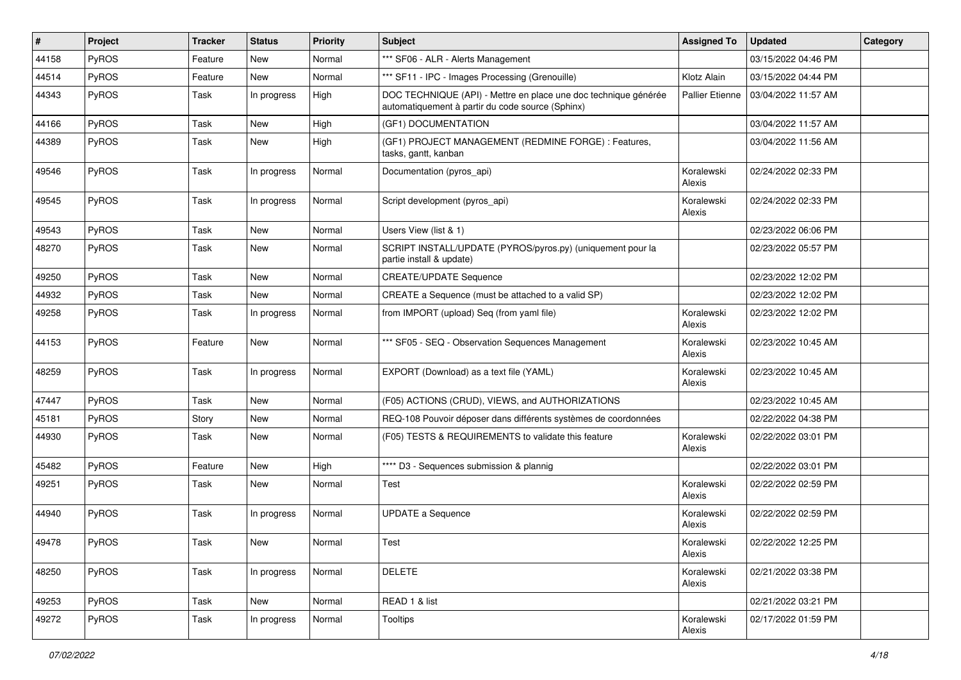| $\sharp$ | Project      | <b>Tracker</b> | <b>Status</b> | <b>Priority</b> | <b>Subject</b>                                                                                                      | <b>Assigned To</b>     | <b>Updated</b>      | Category |
|----------|--------------|----------------|---------------|-----------------|---------------------------------------------------------------------------------------------------------------------|------------------------|---------------------|----------|
| 44158    | <b>PyROS</b> | Feature        | New           | Normal          | *** SF06 - ALR - Alerts Management                                                                                  |                        | 03/15/2022 04:46 PM |          |
| 44514    | PyROS        | Feature        | New           | Normal          | *** SF11 - IPC - Images Processing (Grenouille)                                                                     | Klotz Alain            | 03/15/2022 04:44 PM |          |
| 44343    | PyROS        | Task           | In progress   | High            | DOC TECHNIQUE (API) - Mettre en place une doc technique générée<br>automatiquement à partir du code source (Sphinx) | <b>Pallier Etienne</b> | 03/04/2022 11:57 AM |          |
| 44166    | PyROS        | Task           | New           | High            | (GF1) DOCUMENTATION                                                                                                 |                        | 03/04/2022 11:57 AM |          |
| 44389    | PyROS        | Task           | New           | High            | (GF1) PROJECT MANAGEMENT (REDMINE FORGE) : Features,<br>tasks, gantt, kanban                                        |                        | 03/04/2022 11:56 AM |          |
| 49546    | PyROS        | Task           | In progress   | Normal          | Documentation (pyros_api)                                                                                           | Koralewski<br>Alexis   | 02/24/2022 02:33 PM |          |
| 49545    | PyROS        | Task           | In progress   | Normal          | Script development (pyros_api)                                                                                      | Koralewski<br>Alexis   | 02/24/2022 02:33 PM |          |
| 49543    | PyROS        | Task           | <b>New</b>    | Normal          | Users View (list & 1)                                                                                               |                        | 02/23/2022 06:06 PM |          |
| 48270    | PyROS        | Task           | New           | Normal          | SCRIPT INSTALL/UPDATE (PYROS/pyros.py) (uniquement pour la<br>partie install & update)                              |                        | 02/23/2022 05:57 PM |          |
| 49250    | PyROS        | Task           | New           | Normal          | <b>CREATE/UPDATE Sequence</b>                                                                                       |                        | 02/23/2022 12:02 PM |          |
| 44932    | PyROS        | Task           | <b>New</b>    | Normal          | CREATE a Sequence (must be attached to a valid SP)                                                                  |                        | 02/23/2022 12:02 PM |          |
| 49258    | <b>PyROS</b> | Task           | In progress   | Normal          | from IMPORT (upload) Seq (from yaml file)                                                                           | Koralewski<br>Alexis   | 02/23/2022 12:02 PM |          |
| 44153    | PyROS        | Feature        | New           | Normal          | *** SF05 - SEQ - Observation Sequences Management                                                                   | Koralewski<br>Alexis   | 02/23/2022 10:45 AM |          |
| 48259    | PyROS        | Task           | In progress   | Normal          | EXPORT (Download) as a text file (YAML)                                                                             | Koralewski<br>Alexis   | 02/23/2022 10:45 AM |          |
| 47447    | <b>PyROS</b> | Task           | New           | Normal          | (F05) ACTIONS (CRUD), VIEWS, and AUTHORIZATIONS                                                                     |                        | 02/23/2022 10:45 AM |          |
| 45181    | PyROS        | Story          | New           | Normal          | REQ-108 Pouvoir déposer dans différents systèmes de coordonnées                                                     |                        | 02/22/2022 04:38 PM |          |
| 44930    | <b>PyROS</b> | Task           | New           | Normal          | (F05) TESTS & REQUIREMENTS to validate this feature                                                                 | Koralewski<br>Alexis   | 02/22/2022 03:01 PM |          |
| 45482    | PyROS        | Feature        | New           | High            | **** D3 - Sequences submission & plannig                                                                            |                        | 02/22/2022 03:01 PM |          |
| 49251    | PyROS        | Task           | New           | Normal          | Test                                                                                                                | Koralewski<br>Alexis   | 02/22/2022 02:59 PM |          |
| 44940    | PyROS        | Task           | In progress   | Normal          | <b>UPDATE a Sequence</b>                                                                                            | Koralewski<br>Alexis   | 02/22/2022 02:59 PM |          |
| 49478    | PyROS        | Task           | New           | Normal          | Test                                                                                                                | Koralewski<br>Alexis   | 02/22/2022 12:25 PM |          |
| 48250    | PyROS        | Task           | In progress   | Normal          | <b>DELETE</b>                                                                                                       | Koralewski<br>Alexis   | 02/21/2022 03:38 PM |          |
| 49253    | PyROS        | Task           | New           | Normal          | READ 1 & list                                                                                                       |                        | 02/21/2022 03:21 PM |          |
| 49272    | PyROS        | Task           | In progress   | Normal          | Tooltips                                                                                                            | Koralewski<br>Alexis   | 02/17/2022 01:59 PM |          |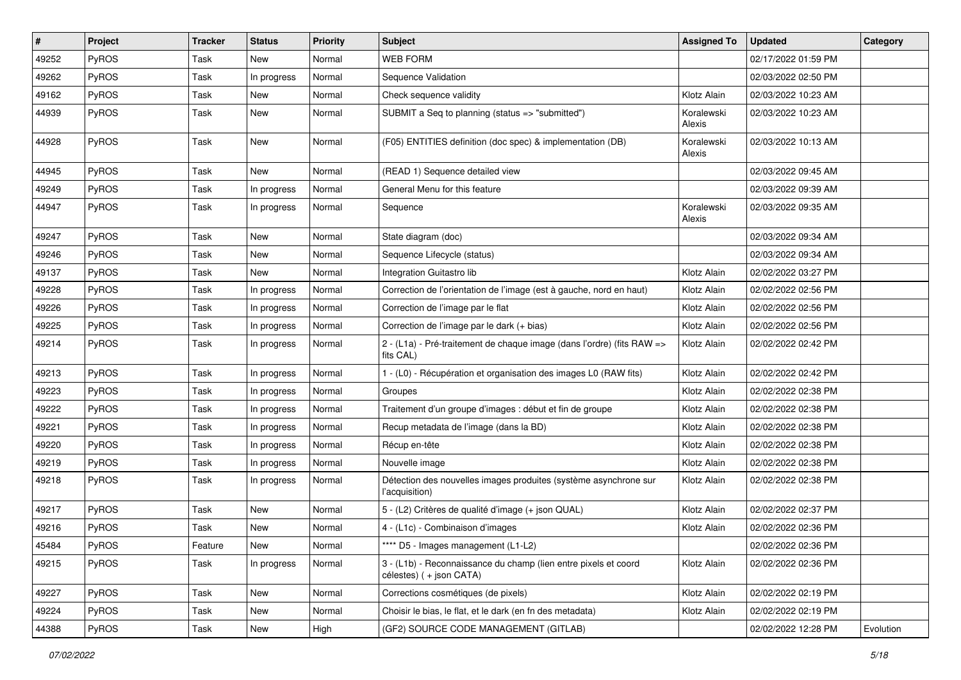| #     | Project      | <b>Tracker</b> | <b>Status</b> | <b>Priority</b> | <b>Subject</b>                                                                             | <b>Assigned To</b>   | <b>Updated</b>      | Category  |
|-------|--------------|----------------|---------------|-----------------|--------------------------------------------------------------------------------------------|----------------------|---------------------|-----------|
| 49252 | PyROS        | Task           | New           | Normal          | <b>WEB FORM</b>                                                                            |                      | 02/17/2022 01:59 PM |           |
| 49262 | PyROS        | Task           | In progress   | Normal          | Sequence Validation                                                                        |                      | 02/03/2022 02:50 PM |           |
| 49162 | PyROS        | Task           | New           | Normal          | Check sequence validity                                                                    | Klotz Alain          | 02/03/2022 10:23 AM |           |
| 44939 | PyROS        | Task           | New           | Normal          | SUBMIT a Seq to planning (status => "submitted")                                           | Koralewski<br>Alexis | 02/03/2022 10:23 AM |           |
| 44928 | PyROS        | Task           | New           | Normal          | (F05) ENTITIES definition (doc spec) & implementation (DB)                                 | Koralewski<br>Alexis | 02/03/2022 10:13 AM |           |
| 44945 | PyROS        | Task           | New           | Normal          | (READ 1) Sequence detailed view                                                            |                      | 02/03/2022 09:45 AM |           |
| 49249 | PyROS        | Task           | In progress   | Normal          | General Menu for this feature                                                              |                      | 02/03/2022 09:39 AM |           |
| 44947 | PyROS        | Task           | In progress   | Normal          | Sequence                                                                                   | Koralewski<br>Alexis | 02/03/2022 09:35 AM |           |
| 49247 | PyROS        | Task           | New           | Normal          | State diagram (doc)                                                                        |                      | 02/03/2022 09:34 AM |           |
| 49246 | PyROS        | Task           | New           | Normal          | Sequence Lifecycle (status)                                                                |                      | 02/03/2022 09:34 AM |           |
| 49137 | PyROS        | Task           | New           | Normal          | Integration Guitastro lib                                                                  | Klotz Alain          | 02/02/2022 03:27 PM |           |
| 49228 | PyROS        | Task           | In progress   | Normal          | Correction de l'orientation de l'image (est à gauche, nord en haut)                        | Klotz Alain          | 02/02/2022 02:56 PM |           |
| 49226 | <b>PyROS</b> | Task           | In progress   | Normal          | Correction de l'image par le flat                                                          | Klotz Alain          | 02/02/2022 02:56 PM |           |
| 49225 | PyROS        | Task           | In progress   | Normal          | Correction de l'image par le dark (+ bias)                                                 | Klotz Alain          | 02/02/2022 02:56 PM |           |
| 49214 | PyROS        | Task           | In progress   | Normal          | 2 - (L1a) - Pré-traitement de chaque image (dans l'ordre) (fits RAW =><br>fits CAL)        | Klotz Alain          | 02/02/2022 02:42 PM |           |
| 49213 | PyROS        | Task           | In progress   | Normal          | 1 - (L0) - Récupération et organisation des images L0 (RAW fits)                           | Klotz Alain          | 02/02/2022 02:42 PM |           |
| 49223 | PyROS        | Task           | In progress   | Normal          | Groupes                                                                                    | Klotz Alain          | 02/02/2022 02:38 PM |           |
| 49222 | PyROS        | Task           | In progress   | Normal          | Traitement d'un groupe d'images : début et fin de groupe                                   | Klotz Alain          | 02/02/2022 02:38 PM |           |
| 49221 | PyROS        | Task           | In progress   | Normal          | Recup metadata de l'image (dans la BD)                                                     | Klotz Alain          | 02/02/2022 02:38 PM |           |
| 49220 | <b>PyROS</b> | Task           | In progress   | Normal          | Récup en-tête                                                                              | Klotz Alain          | 02/02/2022 02:38 PM |           |
| 49219 | PyROS        | Task           | In progress   | Normal          | Nouvelle image                                                                             | Klotz Alain          | 02/02/2022 02:38 PM |           |
| 49218 | <b>PyROS</b> | Task           | In progress   | Normal          | Détection des nouvelles images produites (système asynchrone sur<br>l'acquisition)         | Klotz Alain          | 02/02/2022 02:38 PM |           |
| 49217 | PyROS        | Task           | New           | Normal          | 5 - (L2) Critères de qualité d'image (+ json QUAL)                                         | Klotz Alain          | 02/02/2022 02:37 PM |           |
| 49216 | PyROS        | Task           | New           | Normal          | 4 - (L1c) - Combinaison d'images                                                           | Klotz Alain          | 02/02/2022 02:36 PM |           |
| 45484 | PyROS        | Feature        | New           | Normal          | **** D5 - Images management (L1-L2)                                                        |                      | 02/02/2022 02:36 PM |           |
| 49215 | PyROS        | Task           | In progress   | Normal          | 3 - (L1b) - Reconnaissance du champ (lien entre pixels et coord<br>célestes) (+ json CATA) | Klotz Alain          | 02/02/2022 02:36 PM |           |
| 49227 | PyROS        | Task           | New           | Normal          | Corrections cosmétiques (de pixels)                                                        | Klotz Alain          | 02/02/2022 02:19 PM |           |
| 49224 | PyROS        | Task           | New           | Normal          | Choisir le bias, le flat, et le dark (en fn des metadata)                                  | Klotz Alain          | 02/02/2022 02:19 PM |           |
| 44388 | PyROS        | Task           | New           | High            | (GF2) SOURCE CODE MANAGEMENT (GITLAB)                                                      |                      | 02/02/2022 12:28 PM | Evolution |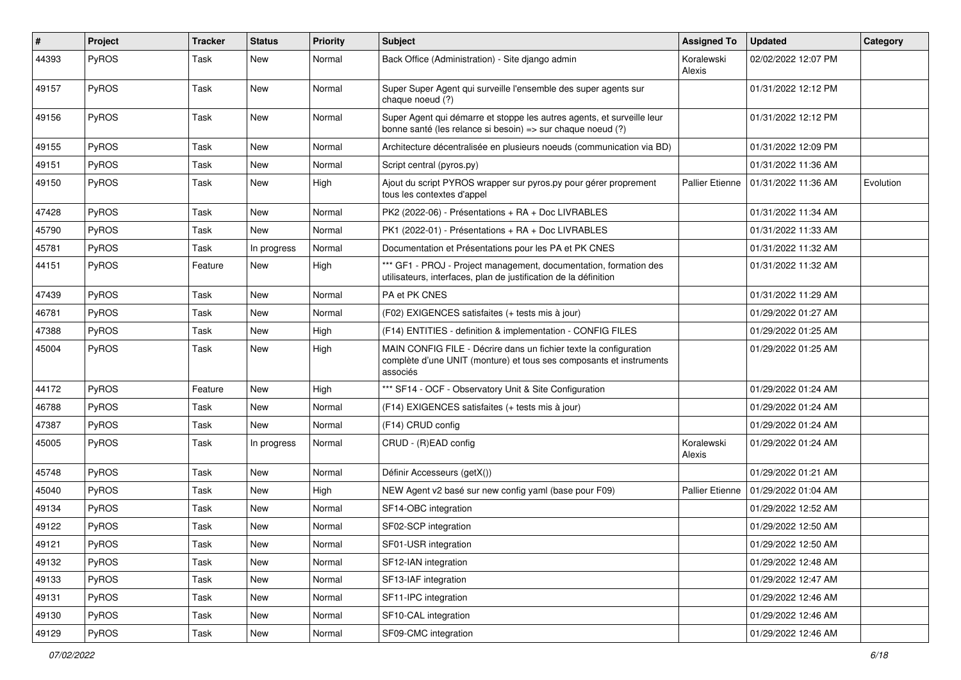| #     | Project      | <b>Tracker</b> | <b>Status</b> | <b>Priority</b> | <b>Subject</b>                                                                                                                                       | <b>Assigned To</b>     | <b>Updated</b>      | Category  |
|-------|--------------|----------------|---------------|-----------------|------------------------------------------------------------------------------------------------------------------------------------------------------|------------------------|---------------------|-----------|
| 44393 | PyROS        | Task           | New           | Normal          | Back Office (Administration) - Site django admin                                                                                                     | Koralewski<br>Alexis   | 02/02/2022 12:07 PM |           |
| 49157 | PyROS        | Task           | New           | Normal          | Super Super Agent qui surveille l'ensemble des super agents sur<br>chaque noeud (?)                                                                  |                        | 01/31/2022 12:12 PM |           |
| 49156 | PyROS        | Task           | New           | Normal          | Super Agent qui démarre et stoppe les autres agents, et surveille leur<br>bonne santé (les relance si besoin) => sur chaque noeud (?)                |                        | 01/31/2022 12:12 PM |           |
| 49155 | PyROS        | Task           | <b>New</b>    | Normal          | Architecture décentralisée en plusieurs noeuds (communication via BD)                                                                                |                        | 01/31/2022 12:09 PM |           |
| 49151 | PyROS        | Task           | New           | Normal          | Script central (pyros.py)                                                                                                                            |                        | 01/31/2022 11:36 AM |           |
| 49150 | <b>PyROS</b> | Task           | New           | High            | Ajout du script PYROS wrapper sur pyros.py pour gérer proprement<br>tous les contextes d'appel                                                       | <b>Pallier Etienne</b> | 01/31/2022 11:36 AM | Evolution |
| 47428 | PyROS        | Task           | New           | Normal          | PK2 (2022-06) - Présentations + RA + Doc LIVRABLES                                                                                                   |                        | 01/31/2022 11:34 AM |           |
| 45790 | <b>PyROS</b> | Task           | New           | Normal          | PK1 (2022-01) - Présentations + RA + Doc LIVRABLES                                                                                                   |                        | 01/31/2022 11:33 AM |           |
| 45781 | PyROS        | Task           | In progress   | Normal          | Documentation et Présentations pour les PA et PK CNES                                                                                                |                        | 01/31/2022 11:32 AM |           |
| 44151 | PyROS        | Feature        | New           | High            | *** GF1 - PROJ - Project management, documentation, formation des<br>utilisateurs, interfaces, plan de justification de la définition                |                        | 01/31/2022 11:32 AM |           |
| 47439 | PyROS        | Task           | New           | Normal          | PA et PK CNES                                                                                                                                        |                        | 01/31/2022 11:29 AM |           |
| 46781 | PyROS        | Task           | New           | Normal          | (F02) EXIGENCES satisfaites (+ tests mis à jour)                                                                                                     |                        | 01/29/2022 01:27 AM |           |
| 47388 | PyROS        | Task           | New           | High            | (F14) ENTITIES - definition & implementation - CONFIG FILES                                                                                          |                        | 01/29/2022 01:25 AM |           |
| 45004 | <b>PyROS</b> | Task           | New           | High            | MAIN CONFIG FILE - Décrire dans un fichier texte la configuration<br>complète d'une UNIT (monture) et tous ses composants et instruments<br>associés |                        | 01/29/2022 01:25 AM |           |
| 44172 | <b>PyROS</b> | Feature        | New           | High            | *** SF14 - OCF - Observatory Unit & Site Configuration                                                                                               |                        | 01/29/2022 01:24 AM |           |
| 46788 | PyROS        | Task           | New           | Normal          | (F14) EXIGENCES satisfaites (+ tests mis à jour)                                                                                                     |                        | 01/29/2022 01:24 AM |           |
| 47387 | PyROS        | Task           | New           | Normal          | (F14) CRUD config                                                                                                                                    |                        | 01/29/2022 01:24 AM |           |
| 45005 | <b>PyROS</b> | Task           | In progress   | Normal          | CRUD - (R)EAD config                                                                                                                                 | Koralewski<br>Alexis   | 01/29/2022 01:24 AM |           |
| 45748 | PyROS        | Task           | New           | Normal          | Définir Accesseurs (getX())                                                                                                                          |                        | 01/29/2022 01:21 AM |           |
| 45040 | PyROS        | Task           | New           | High            | NEW Agent v2 basé sur new config yaml (base pour F09)                                                                                                | <b>Pallier Etienne</b> | 01/29/2022 01:04 AM |           |
| 49134 | PyROS        | Task           | New           | Normal          | SF14-OBC integration                                                                                                                                 |                        | 01/29/2022 12:52 AM |           |
| 49122 | <b>PyROS</b> | Task           | New           | Normal          | SF02-SCP integration                                                                                                                                 |                        | 01/29/2022 12:50 AM |           |
| 49121 | PyROS        | Task           | New           | Normal          | SF01-USR integration                                                                                                                                 |                        | 01/29/2022 12:50 AM |           |
| 49132 | <b>PyROS</b> | Task           | New           | Normal          | SF12-IAN integration                                                                                                                                 |                        | 01/29/2022 12:48 AM |           |
| 49133 | PyROS        | Task           | New           | Normal          | SF13-IAF integration                                                                                                                                 |                        | 01/29/2022 12:47 AM |           |
| 49131 | PyROS        | Task           | New           | Normal          | SF11-IPC integration                                                                                                                                 |                        | 01/29/2022 12:46 AM |           |
| 49130 | PyROS        | Task           | New           | Normal          | SF10-CAL integration                                                                                                                                 |                        | 01/29/2022 12:46 AM |           |
| 49129 | PyROS        | Task           | New           | Normal          | SF09-CMC integration                                                                                                                                 |                        | 01/29/2022 12:46 AM |           |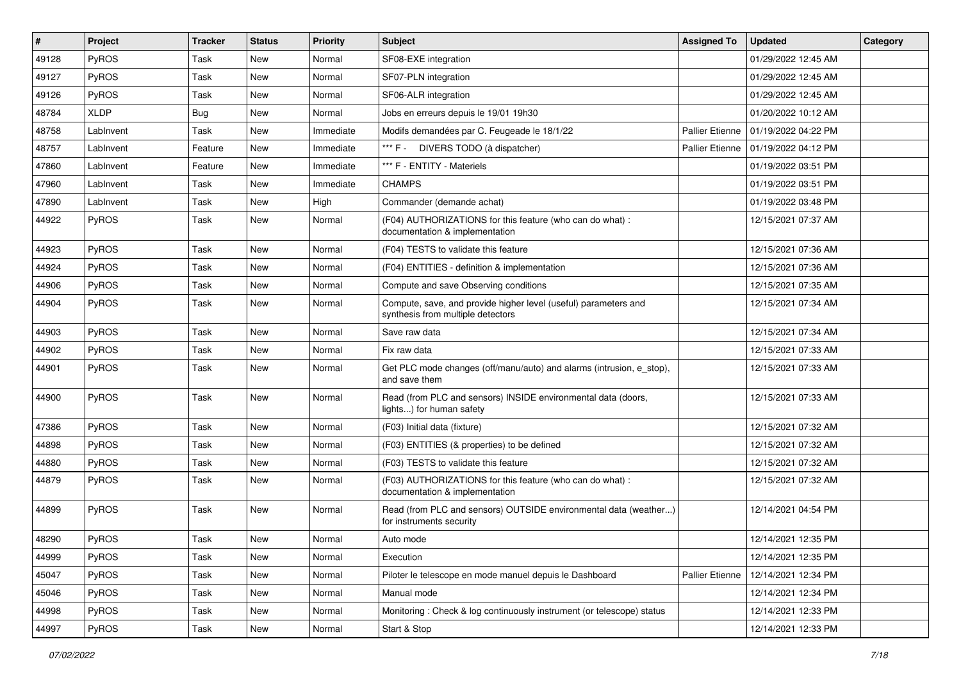| #     | Project     | <b>Tracker</b> | <b>Status</b> | <b>Priority</b> | <b>Subject</b>                                                                                       | <b>Assigned To</b>     | <b>Updated</b>      | Category |
|-------|-------------|----------------|---------------|-----------------|------------------------------------------------------------------------------------------------------|------------------------|---------------------|----------|
| 49128 | PyROS       | Task           | <b>New</b>    | Normal          | SF08-EXE integration                                                                                 |                        | 01/29/2022 12:45 AM |          |
| 49127 | PyROS       | Task           | New           | Normal          | SF07-PLN integration                                                                                 |                        | 01/29/2022 12:45 AM |          |
| 49126 | PyROS       | Task           | <b>New</b>    | Normal          | SF06-ALR integration                                                                                 |                        | 01/29/2022 12:45 AM |          |
| 48784 | <b>XLDP</b> | <b>Bug</b>     | New           | Normal          | Jobs en erreurs depuis le 19/01 19h30                                                                |                        | 01/20/2022 10:12 AM |          |
| 48758 | LabInvent   | Task           | <b>New</b>    | Immediate       | Modifs demandées par C. Feugeade le 18/1/22                                                          | <b>Pallier Etienne</b> | 01/19/2022 04:22 PM |          |
| 48757 | LabInvent   | Feature        | New           | Immediate       | *** F - DIVERS TODO (à dispatcher)                                                                   | <b>Pallier Etienne</b> | 01/19/2022 04:12 PM |          |
| 47860 | LabInvent   | Feature        | <b>New</b>    | Immediate       | *** F - ENTITY - Materiels                                                                           |                        | 01/19/2022 03:51 PM |          |
| 47960 | LabInvent   | Task           | New           | Immediate       | <b>CHAMPS</b>                                                                                        |                        | 01/19/2022 03:51 PM |          |
| 47890 | LabInvent   | Task           | New           | High            | Commander (demande achat)                                                                            |                        | 01/19/2022 03:48 PM |          |
| 44922 | PyROS       | Task           | New           | Normal          | (F04) AUTHORIZATIONS for this feature (who can do what) :<br>documentation & implementation          |                        | 12/15/2021 07:37 AM |          |
| 44923 | PyROS       | Task           | New           | Normal          | (F04) TESTS to validate this feature                                                                 |                        | 12/15/2021 07:36 AM |          |
| 44924 | PyROS       | Task           | New           | Normal          | (F04) ENTITIES - definition & implementation                                                         |                        | 12/15/2021 07:36 AM |          |
| 44906 | PyROS       | Task           | New           | Normal          | Compute and save Observing conditions                                                                |                        | 12/15/2021 07:35 AM |          |
| 44904 | PyROS       | Task           | New           | Normal          | Compute, save, and provide higher level (useful) parameters and<br>synthesis from multiple detectors |                        | 12/15/2021 07:34 AM |          |
| 44903 | PyROS       | Task           | New           | Normal          | Save raw data                                                                                        |                        | 12/15/2021 07:34 AM |          |
| 44902 | PyROS       | Task           | <b>New</b>    | Normal          | Fix raw data                                                                                         |                        | 12/15/2021 07:33 AM |          |
| 44901 | PyROS       | Task           | New           | Normal          | Get PLC mode changes (off/manu/auto) and alarms (intrusion, e_stop),<br>and save them                |                        | 12/15/2021 07:33 AM |          |
| 44900 | PyROS       | Task           | New           | Normal          | Read (from PLC and sensors) INSIDE environmental data (doors,<br>lights) for human safety            |                        | 12/15/2021 07:33 AM |          |
| 47386 | PyROS       | Task           | <b>New</b>    | Normal          | (F03) Initial data (fixture)                                                                         |                        | 12/15/2021 07:32 AM |          |
| 44898 | PyROS       | Task           | New           | Normal          | (F03) ENTITIES (& properties) to be defined                                                          |                        | 12/15/2021 07:32 AM |          |
| 44880 | PyROS       | Task           | <b>New</b>    | Normal          | (F03) TESTS to validate this feature                                                                 |                        | 12/15/2021 07:32 AM |          |
| 44879 | PyROS       | Task           | New           | Normal          | (F03) AUTHORIZATIONS for this feature (who can do what) :<br>documentation & implementation          |                        | 12/15/2021 07:32 AM |          |
| 44899 | PyROS       | Task           | New           | Normal          | Read (from PLC and sensors) OUTSIDE environmental data (weather)<br>for instruments security         |                        | 12/14/2021 04:54 PM |          |
| 48290 | PyROS       | Task           | <b>New</b>    | Normal          | Auto mode                                                                                            |                        | 12/14/2021 12:35 PM |          |
| 44999 | PyROS       | Task           | New           | Normal          | Execution                                                                                            |                        | 12/14/2021 12:35 PM |          |
| 45047 | PyROS       | Task           | New           | Normal          | Piloter le telescope en mode manuel depuis le Dashboard                                              | <b>Pallier Etienne</b> | 12/14/2021 12:34 PM |          |
| 45046 | PyROS       | Task           | New           | Normal          | Manual mode                                                                                          |                        | 12/14/2021 12:34 PM |          |
| 44998 | PyROS       | Task           | New           | Normal          | Monitoring: Check & log continuously instrument (or telescope) status                                |                        | 12/14/2021 12:33 PM |          |
| 44997 | PyROS       | Task           | New           | Normal          | Start & Stop                                                                                         |                        | 12/14/2021 12:33 PM |          |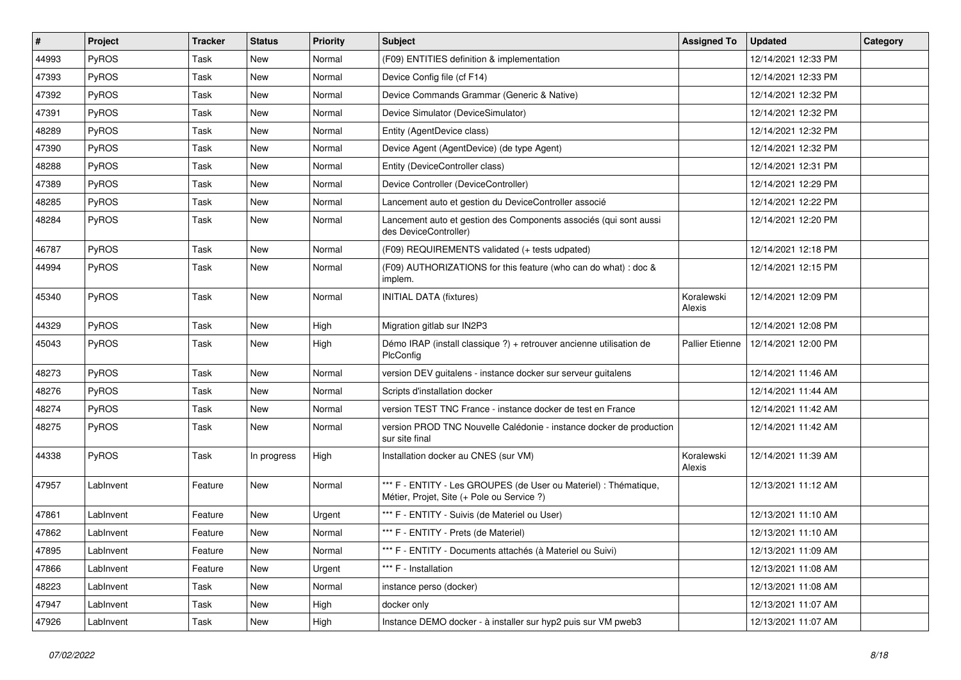| #     | Project   | <b>Tracker</b> | <b>Status</b> | <b>Priority</b> | <b>Subject</b>                                                                                                 | <b>Assigned To</b>   | <b>Updated</b>      | Category |
|-------|-----------|----------------|---------------|-----------------|----------------------------------------------------------------------------------------------------------------|----------------------|---------------------|----------|
| 44993 | PyROS     | Task           | <b>New</b>    | Normal          | (F09) ENTITIES definition & implementation                                                                     |                      | 12/14/2021 12:33 PM |          |
| 47393 | PyROS     | Task           | New           | Normal          | Device Config file (cf F14)                                                                                    |                      | 12/14/2021 12:33 PM |          |
| 47392 | PyROS     | Task           | New           | Normal          | Device Commands Grammar (Generic & Native)                                                                     |                      | 12/14/2021 12:32 PM |          |
| 47391 | PyROS     | Task           | New           | Normal          | Device Simulator (DeviceSimulator)                                                                             |                      | 12/14/2021 12:32 PM |          |
| 48289 | PyROS     | Task           | <b>New</b>    | Normal          | Entity (AgentDevice class)                                                                                     |                      | 12/14/2021 12:32 PM |          |
| 47390 | PyROS     | Task           | New           | Normal          | Device Agent (AgentDevice) (de type Agent)                                                                     |                      | 12/14/2021 12:32 PM |          |
| 48288 | PyROS     | Task           | <b>New</b>    | Normal          | Entity (DeviceController class)                                                                                |                      | 12/14/2021 12:31 PM |          |
| 47389 | PyROS     | Task           | New           | Normal          | Device Controller (DeviceController)                                                                           |                      | 12/14/2021 12:29 PM |          |
| 48285 | PyROS     | Task           | New           | Normal          | Lancement auto et gestion du DeviceController associé                                                          |                      | 12/14/2021 12:22 PM |          |
| 48284 | PyROS     | Task           | New           | Normal          | Lancement auto et gestion des Components associés (qui sont aussi<br>des DeviceController)                     |                      | 12/14/2021 12:20 PM |          |
| 46787 | PyROS     | Task           | New           | Normal          | (F09) REQUIREMENTS validated (+ tests udpated)                                                                 |                      | 12/14/2021 12:18 PM |          |
| 44994 | PyROS     | Task           | New           | Normal          | (F09) AUTHORIZATIONS for this feature (who can do what) : doc &<br>implem.                                     |                      | 12/14/2021 12:15 PM |          |
| 45340 | PyROS     | Task           | <b>New</b>    | Normal          | <b>INITIAL DATA (fixtures)</b>                                                                                 | Koralewski<br>Alexis | 12/14/2021 12:09 PM |          |
| 44329 | PyROS     | Task           | New           | High            | Migration gitlab sur IN2P3                                                                                     |                      | 12/14/2021 12:08 PM |          |
| 45043 | PyROS     | Task           | New           | High            | Démo IRAP (install classique ?) + retrouver ancienne utilisation de<br>PlcConfig                               | Pallier Etienne      | 12/14/2021 12:00 PM |          |
| 48273 | PyROS     | Task           | New           | Normal          | version DEV guitalens - instance docker sur serveur guitalens                                                  |                      | 12/14/2021 11:46 AM |          |
| 48276 | PyROS     | Task           | New           | Normal          | Scripts d'installation docker                                                                                  |                      | 12/14/2021 11:44 AM |          |
| 48274 | PyROS     | Task           | New           | Normal          | version TEST TNC France - instance docker de test en France                                                    |                      | 12/14/2021 11:42 AM |          |
| 48275 | PyROS     | Task           | <b>New</b>    | Normal          | version PROD TNC Nouvelle Calédonie - instance docker de production<br>sur site final                          |                      | 12/14/2021 11:42 AM |          |
| 44338 | PyROS     | Task           | In progress   | High            | Installation docker au CNES (sur VM)                                                                           | Koralewski<br>Alexis | 12/14/2021 11:39 AM |          |
| 47957 | LabInvent | Feature        | New           | Normal          | *** F - ENTITY - Les GROUPES (de User ou Materiel) : Thématique,<br>Métier, Projet, Site (+ Pole ou Service ?) |                      | 12/13/2021 11:12 AM |          |
| 47861 | LabInvent | Feature        | New           | Urgent          | *** F - ENTITY - Suivis (de Materiel ou User)                                                                  |                      | 12/13/2021 11:10 AM |          |
| 47862 | LabInvent | Feature        | New           | Normal          | *** F - ENTITY - Prets (de Materiel)                                                                           |                      | 12/13/2021 11:10 AM |          |
| 47895 | LabInvent | Feature        | <b>New</b>    | Normal          | *** F - ENTITY - Documents attachés (à Materiel ou Suivi)                                                      |                      | 12/13/2021 11:09 AM |          |
| 47866 | LabInvent | Feature        | New           | Urgent          | *** F - Installation                                                                                           |                      | 12/13/2021 11:08 AM |          |
| 48223 | LabInvent | Task           | New           | Normal          | instance perso (docker)                                                                                        |                      | 12/13/2021 11:08 AM |          |
| 47947 | LabInvent | Task           | New           | High            | docker only                                                                                                    |                      | 12/13/2021 11:07 AM |          |
| 47926 | LabInvent | Task           | New           | High            | Instance DEMO docker - à installer sur hyp2 puis sur VM pweb3                                                  |                      | 12/13/2021 11:07 AM |          |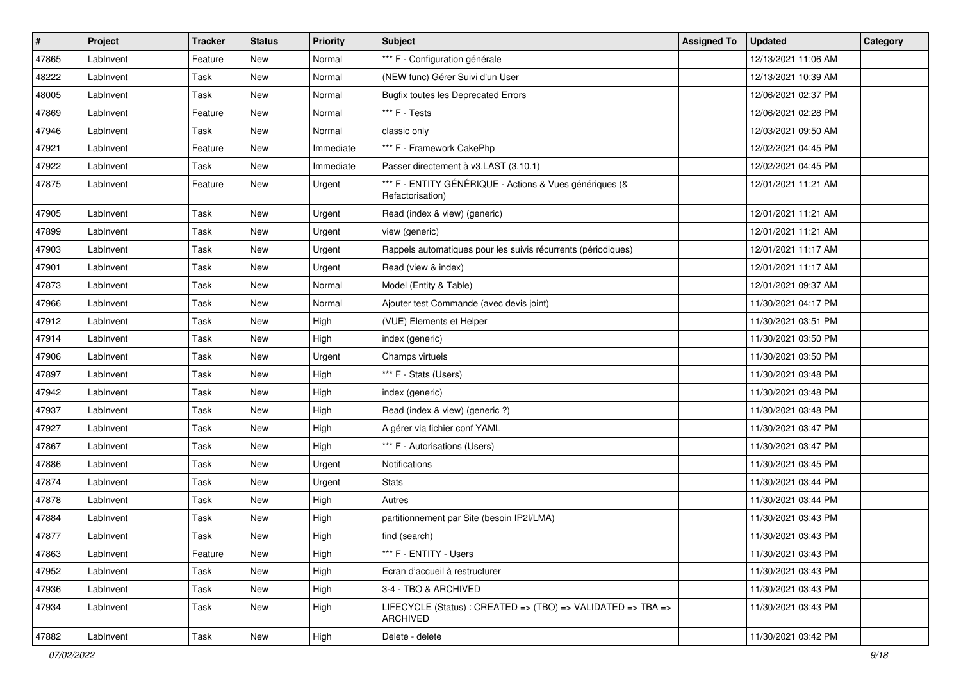| $\vert$ # | <b>Project</b> | <b>Tracker</b> | <b>Status</b> | <b>Priority</b> | Subject                                                                     | <b>Assigned To</b> | <b>Updated</b>      | Category |
|-----------|----------------|----------------|---------------|-----------------|-----------------------------------------------------------------------------|--------------------|---------------------|----------|
| 47865     | LabInvent      | Feature        | New           | Normal          | *** F - Configuration générale                                              |                    | 12/13/2021 11:06 AM |          |
| 48222     | LabInvent      | Task           | New           | Normal          | (NEW func) Gérer Suivi d'un User                                            |                    | 12/13/2021 10:39 AM |          |
| 48005     | LabInvent      | Task           | New           | Normal          | <b>Bugfix toutes les Deprecated Errors</b>                                  |                    | 12/06/2021 02:37 PM |          |
| 47869     | LabInvent      | Feature        | New           | Normal          | *** F - Tests                                                               |                    | 12/06/2021 02:28 PM |          |
| 47946     | LabInvent      | Task           | New           | Normal          | classic only                                                                |                    | 12/03/2021 09:50 AM |          |
| 47921     | LabInvent      | Feature        | New           | Immediate       | *** F - Framework CakePhp                                                   |                    | 12/02/2021 04:45 PM |          |
| 47922     | LabInvent      | Task           | New           | Immediate       | Passer directement à v3.LAST (3.10.1)                                       |                    | 12/02/2021 04:45 PM |          |
| 47875     | LabInvent      | Feature        | New           | Urgent          | *** F - ENTITY GÉNÉRIQUE - Actions & Vues génériques (&<br>Refactorisation) |                    | 12/01/2021 11:21 AM |          |
| 47905     | LabInvent      | Task           | New           | Urgent          | Read (index & view) (generic)                                               |                    | 12/01/2021 11:21 AM |          |
| 47899     | LabInvent      | Task           | New           | Urgent          | view (generic)                                                              |                    | 12/01/2021 11:21 AM |          |
| 47903     | LabInvent      | Task           | New           | Urgent          | Rappels automatiques pour les suivis récurrents (périodiques)               |                    | 12/01/2021 11:17 AM |          |
| 47901     | LabInvent      | Task           | New           | Urgent          | Read (view & index)                                                         |                    | 12/01/2021 11:17 AM |          |
| 47873     | LabInvent      | Task           | New           | Normal          | Model (Entity & Table)                                                      |                    | 12/01/2021 09:37 AM |          |
| 47966     | LabInvent      | Task           | New           | Normal          | Ajouter test Commande (avec devis joint)                                    |                    | 11/30/2021 04:17 PM |          |
| 47912     | LabInvent      | Task           | New           | High            | (VUE) Elements et Helper                                                    |                    | 11/30/2021 03:51 PM |          |
| 47914     | LabInvent      | Task           | New           | High            | index (generic)                                                             |                    | 11/30/2021 03:50 PM |          |
| 47906     | LabInvent      | Task           | New           | Urgent          | Champs virtuels                                                             |                    | 11/30/2021 03:50 PM |          |
| 47897     | LabInvent      | Task           | New           | High            | *** F - Stats (Users)                                                       |                    | 11/30/2021 03:48 PM |          |
| 47942     | LabInvent      | Task           | New           | High            | index (generic)                                                             |                    | 11/30/2021 03:48 PM |          |
| 47937     | LabInvent      | Task           | New           | High            | Read (index & view) (generic ?)                                             |                    | 11/30/2021 03:48 PM |          |
| 47927     | LabInvent      | Task           | New           | High            | A gérer via fichier conf YAML                                               |                    | 11/30/2021 03:47 PM |          |
| 47867     | LabInvent      | Task           | New           | High            | *** F - Autorisations (Users)                                               |                    | 11/30/2021 03:47 PM |          |
| 47886     | LabInvent      | Task           | New           | Urgent          | Notifications                                                               |                    | 11/30/2021 03:45 PM |          |
| 47874     | LabInvent      | Task           | New           | Urgent          | <b>Stats</b>                                                                |                    | 11/30/2021 03:44 PM |          |
| 47878     | LabInvent      | Task           | New           | High            | Autres                                                                      |                    | 11/30/2021 03:44 PM |          |
| 47884     | LabInvent      | Task           | New           | High            | partitionnement par Site (besoin IP2I/LMA)                                  |                    | 11/30/2021 03:43 PM |          |
| 47877     | LabInvent      | Task           | New           | High            | find (search)                                                               |                    | 11/30/2021 03:43 PM |          |
| 47863     | LabInvent      | Feature        | New           | High            | *** F - ENTITY - Users                                                      |                    | 11/30/2021 03:43 PM |          |
| 47952     | LabInvent      | Task           | New           | High            | Ecran d'accueil à restructurer                                              |                    | 11/30/2021 03:43 PM |          |
| 47936     | LabInvent      | Task           | New           | High            | 3-4 - TBO & ARCHIVED                                                        |                    | 11/30/2021 03:43 PM |          |
| 47934     | LabInvent      | Task           | New           | High            | LIFECYCLE (Status): CREATED => (TBO) => VALIDATED => TBA =><br>ARCHIVED     |                    | 11/30/2021 03:43 PM |          |
| 47882     | LabInvent      | Task           | New           | High            | Delete - delete                                                             |                    | 11/30/2021 03:42 PM |          |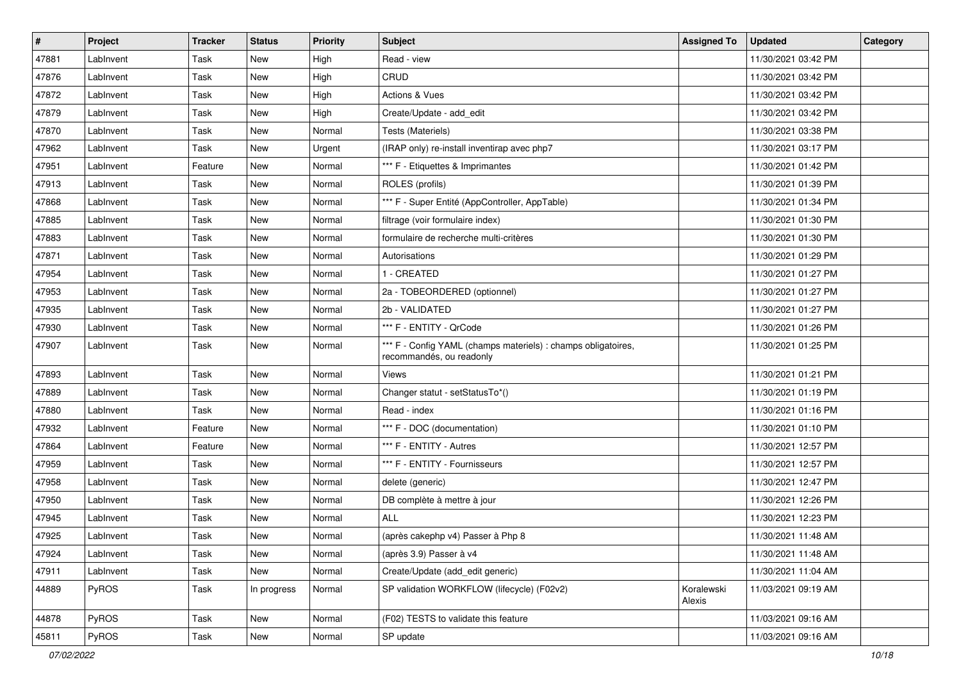| $\vert$ # | Project   | <b>Tracker</b> | <b>Status</b> | <b>Priority</b> | <b>Subject</b>                                                                            | <b>Assigned To</b>   | <b>Updated</b>      | Category |
|-----------|-----------|----------------|---------------|-----------------|-------------------------------------------------------------------------------------------|----------------------|---------------------|----------|
| 47881     | LabInvent | Task           | New           | High            | Read - view                                                                               |                      | 11/30/2021 03:42 PM |          |
| 47876     | LabInvent | Task           | New           | High            | CRUD                                                                                      |                      | 11/30/2021 03:42 PM |          |
| 47872     | LabInvent | Task           | New           | High            | Actions & Vues                                                                            |                      | 11/30/2021 03:42 PM |          |
| 47879     | LabInvent | Task           | New           | High            | Create/Update - add_edit                                                                  |                      | 11/30/2021 03:42 PM |          |
| 47870     | LabInvent | Task           | New           | Normal          | Tests (Materiels)                                                                         |                      | 11/30/2021 03:38 PM |          |
| 47962     | LabInvent | Task           | New           | Urgent          | (IRAP only) re-install inventirap avec php7                                               |                      | 11/30/2021 03:17 PM |          |
| 47951     | LabInvent | Feature        | New           | Normal          | *** F - Etiquettes & Imprimantes                                                          |                      | 11/30/2021 01:42 PM |          |
| 47913     | LabInvent | Task           | New           | Normal          | ROLES (profils)                                                                           |                      | 11/30/2021 01:39 PM |          |
| 47868     | LabInvent | Task           | New           | Normal          | *** F - Super Entité (AppController, AppTable)                                            |                      | 11/30/2021 01:34 PM |          |
| 47885     | LabInvent | Task           | New           | Normal          | filtrage (voir formulaire index)                                                          |                      | 11/30/2021 01:30 PM |          |
| 47883     | LabInvent | Task           | New           | Normal          | formulaire de recherche multi-critères                                                    |                      | 11/30/2021 01:30 PM |          |
| 47871     | LabInvent | Task           | New           | Normal          | Autorisations                                                                             |                      | 11/30/2021 01:29 PM |          |
| 47954     | LabInvent | Task           | New           | Normal          | 1 - CREATED                                                                               |                      | 11/30/2021 01:27 PM |          |
| 47953     | LabInvent | Task           | New           | Normal          | 2a - TOBEORDERED (optionnel)                                                              |                      | 11/30/2021 01:27 PM |          |
| 47935     | LabInvent | Task           | New           | Normal          | 2b - VALIDATED                                                                            |                      | 11/30/2021 01:27 PM |          |
| 47930     | LabInvent | Task           | New           | Normal          | *** F - ENTITY - QrCode                                                                   |                      | 11/30/2021 01:26 PM |          |
| 47907     | LabInvent | Task           | New           | Normal          | *** F - Config YAML (champs materiels) : champs obligatoires,<br>recommandés, ou readonly |                      | 11/30/2021 01:25 PM |          |
| 47893     | LabInvent | Task           | New           | Normal          | Views                                                                                     |                      | 11/30/2021 01:21 PM |          |
| 47889     | LabInvent | Task           | New           | Normal          | Changer statut - setStatusTo*()                                                           |                      | 11/30/2021 01:19 PM |          |
| 47880     | LabInvent | Task           | New           | Normal          | Read - index                                                                              |                      | 11/30/2021 01:16 PM |          |
| 47932     | LabInvent | Feature        | New           | Normal          | *** F - DOC (documentation)                                                               |                      | 11/30/2021 01:10 PM |          |
| 47864     | LabInvent | Feature        | New           | Normal          | *** F - ENTITY - Autres                                                                   |                      | 11/30/2021 12:57 PM |          |
| 47959     | LabInvent | Task           | New           | Normal          | *** F - ENTITY - Fournisseurs                                                             |                      | 11/30/2021 12:57 PM |          |
| 47958     | LabInvent | Task           | New           | Normal          | delete (generic)                                                                          |                      | 11/30/2021 12:47 PM |          |
| 47950     | LabInvent | Task           | New           | Normal          | DB complète à mettre à jour                                                               |                      | 11/30/2021 12:26 PM |          |
| 47945     | LabInvent | Task           | New           | Normal          | <b>ALL</b>                                                                                |                      | 11/30/2021 12:23 PM |          |
| 47925     | LabInvent | Task           | New           | Normal          | (après cakephp v4) Passer à Php 8                                                         |                      | 11/30/2021 11:48 AM |          |
| 47924     | LabInvent | Task           | New           | Normal          | (après 3.9) Passer à v4                                                                   |                      | 11/30/2021 11:48 AM |          |
| 47911     | LabInvent | Task           | New           | Normal          | Create/Update (add_edit generic)                                                          |                      | 11/30/2021 11:04 AM |          |
| 44889     | PyROS     | Task           | In progress   | Normal          | SP validation WORKFLOW (lifecycle) (F02v2)                                                | Koralewski<br>Alexis | 11/03/2021 09:19 AM |          |
| 44878     | PyROS     | Task           | New           | Normal          | (F02) TESTS to validate this feature                                                      |                      | 11/03/2021 09:16 AM |          |
| 45811     | PyROS     | Task           | New           | Normal          | SP update                                                                                 |                      | 11/03/2021 09:16 AM |          |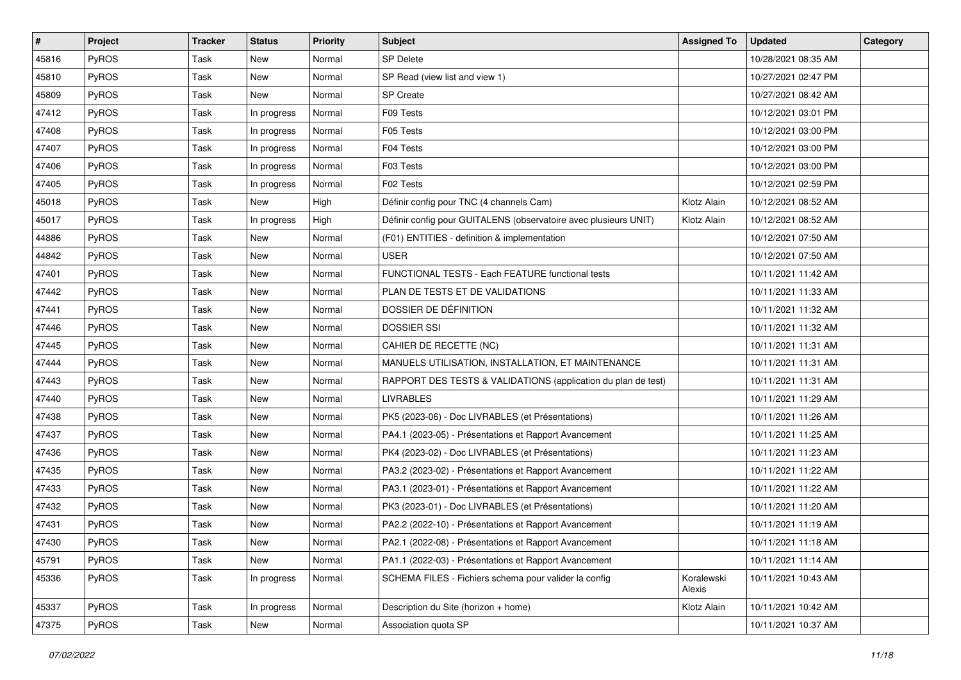| #     | Project      | <b>Tracker</b> | <b>Status</b> | <b>Priority</b> | <b>Subject</b>                                                   | <b>Assigned To</b>   | <b>Updated</b>      | Category |
|-------|--------------|----------------|---------------|-----------------|------------------------------------------------------------------|----------------------|---------------------|----------|
| 45816 | PyROS        | Task           | New           | Normal          | <b>SP Delete</b>                                                 |                      | 10/28/2021 08:35 AM |          |
| 45810 | PyROS        | Task           | New           | Normal          | SP Read (view list and view 1)                                   |                      | 10/27/2021 02:47 PM |          |
| 45809 | <b>PyROS</b> | Task           | New           | Normal          | SP Create                                                        |                      | 10/27/2021 08:42 AM |          |
| 47412 | PyROS        | Task           | In progress   | Normal          | F09 Tests                                                        |                      | 10/12/2021 03:01 PM |          |
| 47408 | PyROS        | Task           | In progress   | Normal          | F05 Tests                                                        |                      | 10/12/2021 03:00 PM |          |
| 47407 | PyROS        | Task           | In progress   | Normal          | F04 Tests                                                        |                      | 10/12/2021 03:00 PM |          |
| 47406 | PyROS        | Task           | In progress   | Normal          | F03 Tests                                                        |                      | 10/12/2021 03:00 PM |          |
| 47405 | <b>PyROS</b> | Task           | In progress   | Normal          | F02 Tests                                                        |                      | 10/12/2021 02:59 PM |          |
| 45018 | PyROS        | Task           | New           | High            | Définir config pour TNC (4 channels Cam)                         | Klotz Alain          | 10/12/2021 08:52 AM |          |
| 45017 | PyROS        | Task           | In progress   | High            | Définir config pour GUITALENS (observatoire avec plusieurs UNIT) | Klotz Alain          | 10/12/2021 08:52 AM |          |
| 44886 | PyROS        | Task           | New           | Normal          | (F01) ENTITIES - definition & implementation                     |                      | 10/12/2021 07:50 AM |          |
| 44842 | PyROS        | Task           | New           | Normal          | <b>USER</b>                                                      |                      | 10/12/2021 07:50 AM |          |
| 47401 | PyROS        | Task           | New           | Normal          | FUNCTIONAL TESTS - Each FEATURE functional tests                 |                      | 10/11/2021 11:42 AM |          |
| 47442 | PyROS        | Task           | New           | Normal          | PLAN DE TESTS ET DE VALIDATIONS                                  |                      | 10/11/2021 11:33 AM |          |
| 47441 | PyROS        | Task           | New           | Normal          | DOSSIER DE DÉFINITION                                            |                      | 10/11/2021 11:32 AM |          |
| 47446 | PyROS        | Task           | New           | Normal          | <b>DOSSIER SSI</b>                                               |                      | 10/11/2021 11:32 AM |          |
| 47445 | PyROS        | Task           | New           | Normal          | CAHIER DE RECETTE (NC)                                           |                      | 10/11/2021 11:31 AM |          |
| 47444 | PyROS        | Task           | New           | Normal          | MANUELS UTILISATION, INSTALLATION, ET MAINTENANCE                |                      | 10/11/2021 11:31 AM |          |
| 47443 | PyROS        | Task           | New           | Normal          | RAPPORT DES TESTS & VALIDATIONS (application du plan de test)    |                      | 10/11/2021 11:31 AM |          |
| 47440 | PyROS        | Task           | New           | Normal          | <b>LIVRABLES</b>                                                 |                      | 10/11/2021 11:29 AM |          |
| 47438 | PyROS        | Task           | New           | Normal          | PK5 (2023-06) - Doc LIVRABLES (et Présentations)                 |                      | 10/11/2021 11:26 AM |          |
| 47437 | PyROS        | Task           | New           | Normal          | PA4.1 (2023-05) - Présentations et Rapport Avancement            |                      | 10/11/2021 11:25 AM |          |
| 47436 | PyROS        | Task           | New           | Normal          | PK4 (2023-02) - Doc LIVRABLES (et Présentations)                 |                      | 10/11/2021 11:23 AM |          |
| 47435 | PyROS        | Task           | New           | Normal          | PA3.2 (2023-02) - Présentations et Rapport Avancement            |                      | 10/11/2021 11:22 AM |          |
| 47433 | PyROS        | Task           | New           | Normal          | PA3.1 (2023-01) - Présentations et Rapport Avancement            |                      | 10/11/2021 11:22 AM |          |
| 47432 | PyROS        | Task           | New           | Normal          | PK3 (2023-01) - Doc LIVRABLES (et Présentations)                 |                      | 10/11/2021 11:20 AM |          |
| 47431 | PyROS        | Task           | New           | Normal          | PA2.2 (2022-10) - Présentations et Rapport Avancement            |                      | 10/11/2021 11:19 AM |          |
| 47430 | PyROS        | Task           | New           | Normal          | PA2.1 (2022-08) - Présentations et Rapport Avancement            |                      | 10/11/2021 11:18 AM |          |
| 45791 | PyROS        | Task           | New           | Normal          | PA1.1 (2022-03) - Présentations et Rapport Avancement            |                      | 10/11/2021 11:14 AM |          |
| 45336 | PyROS        | Task           | In progress   | Normal          | SCHEMA FILES - Fichiers schema pour valider la config            | Koralewski<br>Alexis | 10/11/2021 10:43 AM |          |
| 45337 | PyROS        | Task           | In progress   | Normal          | Description du Site (horizon + home)                             | Klotz Alain          | 10/11/2021 10:42 AM |          |
| 47375 | PyROS        | Task           | New           | Normal          | Association quota SP                                             |                      | 10/11/2021 10:37 AM |          |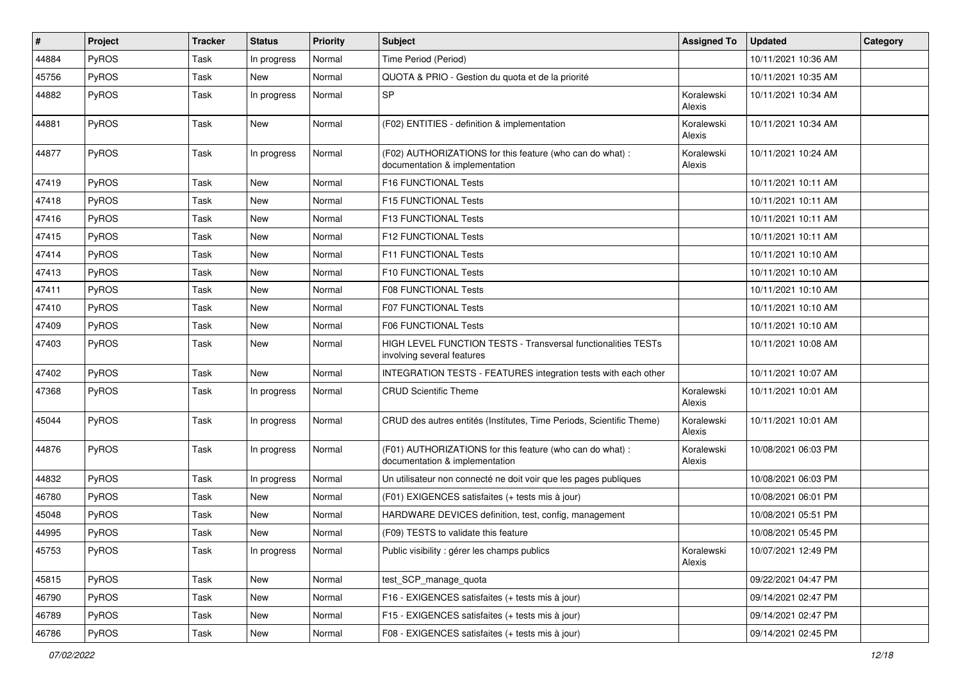| $\sharp$ | Project      | <b>Tracker</b> | <b>Status</b> | <b>Priority</b> | Subject                                                                                     | <b>Assigned To</b>   | <b>Updated</b>      | Category |
|----------|--------------|----------------|---------------|-----------------|---------------------------------------------------------------------------------------------|----------------------|---------------------|----------|
| 44884    | <b>PyROS</b> | Task           | In progress   | Normal          | Time Period (Period)                                                                        |                      | 10/11/2021 10:36 AM |          |
| 45756    | <b>PyROS</b> | Task           | New           | Normal          | QUOTA & PRIO - Gestion du quota et de la priorité                                           |                      | 10/11/2021 10:35 AM |          |
| 44882    | PyROS        | Task           | In progress   | Normal          | <b>SP</b>                                                                                   | Koralewski<br>Alexis | 10/11/2021 10:34 AM |          |
| 44881    | PyROS        | Task           | New           | Normal          | (F02) ENTITIES - definition & implementation                                                | Koralewski<br>Alexis | 10/11/2021 10:34 AM |          |
| 44877    | PyROS        | Task           | In progress   | Normal          | (F02) AUTHORIZATIONS for this feature (who can do what) :<br>documentation & implementation | Koralewski<br>Alexis | 10/11/2021 10:24 AM |          |
| 47419    | <b>PyROS</b> | Task           | New           | Normal          | F16 FUNCTIONAL Tests                                                                        |                      | 10/11/2021 10:11 AM |          |
| 47418    | <b>PyROS</b> | Task           | <b>New</b>    | Normal          | F15 FUNCTIONAL Tests                                                                        |                      | 10/11/2021 10:11 AM |          |
| 47416    | PyROS        | Task           | New           | Normal          | <b>F13 FUNCTIONAL Tests</b>                                                                 |                      | 10/11/2021 10:11 AM |          |
| 47415    | PyROS        | Task           | New           | Normal          | F12 FUNCTIONAL Tests                                                                        |                      | 10/11/2021 10:11 AM |          |
| 47414    | PyROS        | Task           | <b>New</b>    | Normal          | F11 FUNCTIONAL Tests                                                                        |                      | 10/11/2021 10:10 AM |          |
| 47413    | <b>PyROS</b> | Task           | New           | Normal          | F10 FUNCTIONAL Tests                                                                        |                      | 10/11/2021 10:10 AM |          |
| 47411    | <b>PyROS</b> | Task           | <b>New</b>    | Normal          | <b>F08 FUNCTIONAL Tests</b>                                                                 |                      | 10/11/2021 10:10 AM |          |
| 47410    | PyROS        | Task           | New           | Normal          | F07 FUNCTIONAL Tests                                                                        |                      | 10/11/2021 10:10 AM |          |
| 47409    | <b>PyROS</b> | Task           | New           | Normal          | <b>F06 FUNCTIONAL Tests</b>                                                                 |                      | 10/11/2021 10:10 AM |          |
| 47403    | PyROS        | Task           | New           | Normal          | HIGH LEVEL FUNCTION TESTS - Transversal functionalities TESTs<br>involving several features |                      | 10/11/2021 10:08 AM |          |
| 47402    | PyROS        | Task           | New           | Normal          | <b>INTEGRATION TESTS - FEATURES integration tests with each other</b>                       |                      | 10/11/2021 10:07 AM |          |
| 47368    | PyROS        | Task           | In progress   | Normal          | <b>CRUD Scientific Theme</b>                                                                | Koralewski<br>Alexis | 10/11/2021 10:01 AM |          |
| 45044    | PyROS        | Task           | In progress   | Normal          | CRUD des autres entités (Institutes, Time Periods, Scientific Theme)                        | Koralewski<br>Alexis | 10/11/2021 10:01 AM |          |
| 44876    | PyROS        | Task           | In progress   | Normal          | (F01) AUTHORIZATIONS for this feature (who can do what) :<br>documentation & implementation | Koralewski<br>Alexis | 10/08/2021 06:03 PM |          |
| 44832    | PyROS        | Task           | In progress   | Normal          | Un utilisateur non connecté ne doit voir que les pages publiques                            |                      | 10/08/2021 06:03 PM |          |
| 46780    | PyROS        | Task           | <b>New</b>    | Normal          | (F01) EXIGENCES satisfaites (+ tests mis à jour)                                            |                      | 10/08/2021 06:01 PM |          |
| 45048    | PyROS        | Task           | New           | Normal          | HARDWARE DEVICES definition, test, config, management                                       |                      | 10/08/2021 05:51 PM |          |
| 44995    | PyROS        | Task           | New           | Normal          | (F09) TESTS to validate this feature                                                        |                      | 10/08/2021 05:45 PM |          |
| 45753    | PyROS        | Task           | In progress   | Normal          | Public visibility : gérer les champs publics                                                | Koralewski<br>Alexis | 10/07/2021 12:49 PM |          |
| 45815    | PyROS        | Task           | New           | Normal          | test_SCP_manage_quota                                                                       |                      | 09/22/2021 04:47 PM |          |
| 46790    | PyROS        | Task           | New           | Normal          | F16 - EXIGENCES satisfaites (+ tests mis à jour)                                            |                      | 09/14/2021 02:47 PM |          |
| 46789    | PyROS        | Task           | New           | Normal          | F15 - EXIGENCES satisfaites (+ tests mis à jour)                                            |                      | 09/14/2021 02:47 PM |          |
| 46786    | PyROS        | Task           | New           | Normal          | F08 - EXIGENCES satisfaites (+ tests mis à jour)                                            |                      | 09/14/2021 02:45 PM |          |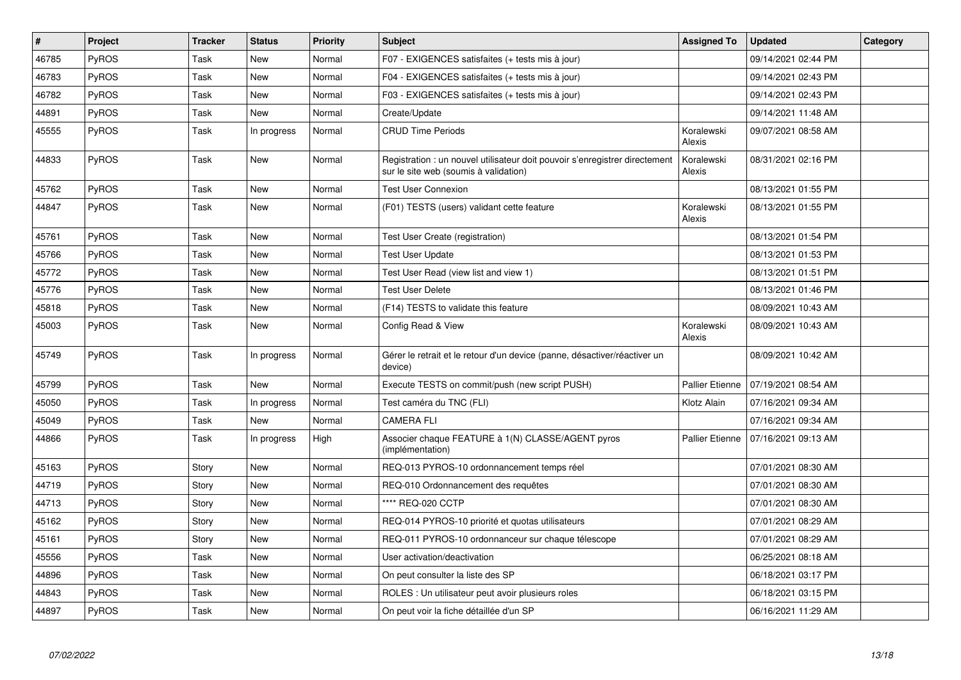| $\pmb{\sharp}$ | <b>Project</b> | <b>Tracker</b> | <b>Status</b> | <b>Priority</b> | <b>Subject</b>                                                                                                       | <b>Assigned To</b>     | <b>Updated</b>      | Category |
|----------------|----------------|----------------|---------------|-----------------|----------------------------------------------------------------------------------------------------------------------|------------------------|---------------------|----------|
| 46785          | PyROS          | Task           | <b>New</b>    | Normal          | F07 - EXIGENCES satisfaites (+ tests mis à jour)                                                                     |                        | 09/14/2021 02:44 PM |          |
| 46783          | <b>PyROS</b>   | Task           | New           | Normal          | F04 - EXIGENCES satisfaites (+ tests mis à jour)                                                                     |                        | 09/14/2021 02:43 PM |          |
| 46782          | PyROS          | Task           | New           | Normal          | F03 - EXIGENCES satisfaites (+ tests mis à jour)                                                                     |                        | 09/14/2021 02:43 PM |          |
| 44891          | <b>PyROS</b>   | Task           | New           | Normal          | Create/Update                                                                                                        |                        | 09/14/2021 11:48 AM |          |
| 45555          | PyROS          | Task           | In progress   | Normal          | <b>CRUD Time Periods</b>                                                                                             | Koralewski<br>Alexis   | 09/07/2021 08:58 AM |          |
| 44833          | <b>PyROS</b>   | Task           | New           | Normal          | Registration : un nouvel utilisateur doit pouvoir s'enregistrer directement<br>sur le site web (soumis à validation) | Koralewski<br>Alexis   | 08/31/2021 02:16 PM |          |
| 45762          | PyROS          | Task           | New           | Normal          | <b>Test User Connexion</b>                                                                                           |                        | 08/13/2021 01:55 PM |          |
| 44847          | <b>PyROS</b>   | Task           | New           | Normal          | (F01) TESTS (users) validant cette feature                                                                           | Koralewski<br>Alexis   | 08/13/2021 01:55 PM |          |
| 45761          | PyROS          | Task           | <b>New</b>    | Normal          | Test User Create (registration)                                                                                      |                        | 08/13/2021 01:54 PM |          |
| 45766          | PyROS          | Task           | New           | Normal          | Test User Update                                                                                                     |                        | 08/13/2021 01:53 PM |          |
| 45772          | PyROS          | Task           | New           | Normal          | Test User Read (view list and view 1)                                                                                |                        | 08/13/2021 01:51 PM |          |
| 45776          | PyROS          | Task           | <b>New</b>    | Normal          | <b>Test User Delete</b>                                                                                              |                        | 08/13/2021 01:46 PM |          |
| 45818          | PyROS          | Task           | New           | Normal          | (F14) TESTS to validate this feature                                                                                 |                        | 08/09/2021 10:43 AM |          |
| 45003          | PyROS          | Task           | New           | Normal          | Config Read & View                                                                                                   | Koralewski<br>Alexis   | 08/09/2021 10:43 AM |          |
| 45749          | <b>PyROS</b>   | Task           | In progress   | Normal          | Gérer le retrait et le retour d'un device (panne, désactiver/réactiver un<br>device)                                 |                        | 08/09/2021 10:42 AM |          |
| 45799          | <b>PyROS</b>   | Task           | <b>New</b>    | Normal          | Execute TESTS on commit/push (new script PUSH)                                                                       | <b>Pallier Etienne</b> | 07/19/2021 08:54 AM |          |
| 45050          | PyROS          | Task           | In progress   | Normal          | Test caméra du TNC (FLI)                                                                                             | Klotz Alain            | 07/16/2021 09:34 AM |          |
| 45049          | <b>PyROS</b>   | Task           | New           | Normal          | CAMERA FLI                                                                                                           |                        | 07/16/2021 09:34 AM |          |
| 44866          | PyROS          | Task           | In progress   | High            | Associer chaque FEATURE à 1(N) CLASSE/AGENT pyros<br>(implémentation)                                                | Pallier Etienne        | 07/16/2021 09:13 AM |          |
| 45163          | PyROS          | Story          | New           | Normal          | REQ-013 PYROS-10 ordonnancement temps réel                                                                           |                        | 07/01/2021 08:30 AM |          |
| 44719          | PyROS          | Story          | New           | Normal          | REQ-010 Ordonnancement des requêtes                                                                                  |                        | 07/01/2021 08:30 AM |          |
| 44713          | PyROS          | Story          | New           | Normal          | **** REQ-020 CCTP                                                                                                    |                        | 07/01/2021 08:30 AM |          |
| 45162          | <b>PyROS</b>   | Story          | <b>New</b>    | Normal          | REQ-014 PYROS-10 priorité et quotas utilisateurs                                                                     |                        | 07/01/2021 08:29 AM |          |
| 45161          | PyROS          | Story          | New           | Normal          | REQ-011 PYROS-10 ordonnanceur sur chaque télescope                                                                   |                        | 07/01/2021 08:29 AM |          |
| 45556          | <b>PyROS</b>   | Task           | <b>New</b>    | Normal          | User activation/deactivation                                                                                         |                        | 06/25/2021 08:18 AM |          |
| 44896          | PyROS          | Task           | <b>New</b>    | Normal          | On peut consulter la liste des SP                                                                                    |                        | 06/18/2021 03:17 PM |          |
| 44843          | PyROS          | Task           | <b>New</b>    | Normal          | ROLES : Un utilisateur peut avoir plusieurs roles                                                                    |                        | 06/18/2021 03:15 PM |          |
| 44897          | PyROS          | Task           | New           | Normal          | On peut voir la fiche détaillée d'un SP                                                                              |                        | 06/16/2021 11:29 AM |          |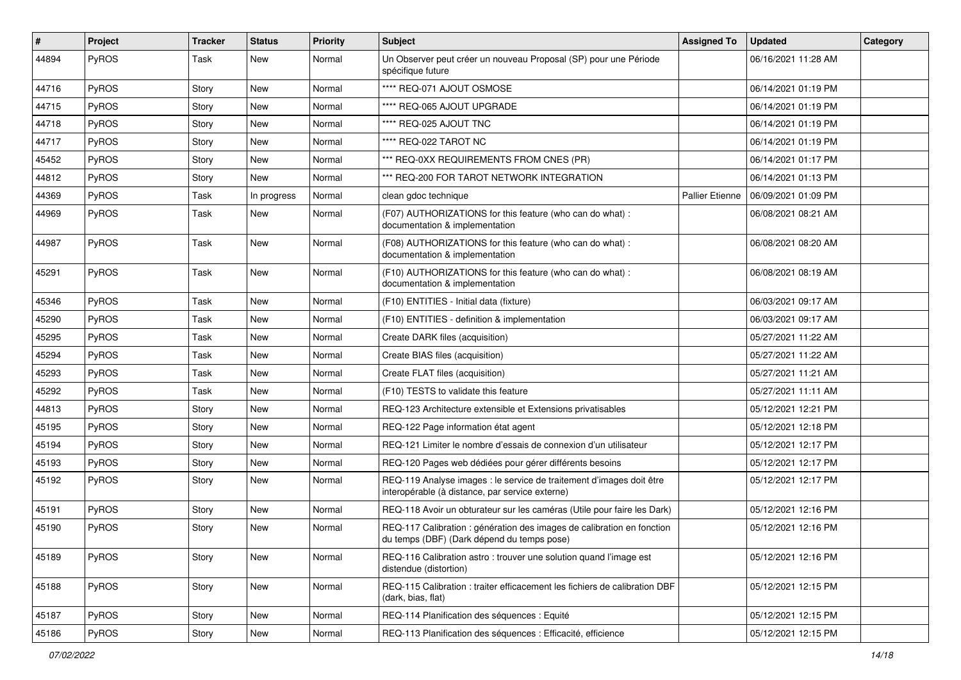| $\vert$ # | Project      | <b>Tracker</b> | <b>Status</b> | <b>Priority</b> | Subject                                                                                                                 | <b>Assigned To</b>     | <b>Updated</b>      | Category |
|-----------|--------------|----------------|---------------|-----------------|-------------------------------------------------------------------------------------------------------------------------|------------------------|---------------------|----------|
| 44894     | PyROS        | Task           | <b>New</b>    | Normal          | Un Observer peut créer un nouveau Proposal (SP) pour une Période<br>spécifique future                                   |                        | 06/16/2021 11:28 AM |          |
| 44716     | <b>PyROS</b> | Story          | New           | Normal          | **** REQ-071 AJOUT OSMOSE                                                                                               |                        | 06/14/2021 01:19 PM |          |
| 44715     | <b>PyROS</b> | Story          | New           | Normal          | **** REQ-065 AJOUT UPGRADE                                                                                              |                        | 06/14/2021 01:19 PM |          |
| 44718     | PyROS        | Story          | <b>New</b>    | Normal          | **** REQ-025 AJOUT TNC                                                                                                  |                        | 06/14/2021 01:19 PM |          |
| 44717     | <b>PyROS</b> | Story          | New           | Normal          | **** REQ-022 TAROT NC                                                                                                   |                        | 06/14/2021 01:19 PM |          |
| 45452     | <b>PyROS</b> | Story          | <b>New</b>    | Normal          | *** REQ-0XX REQUIREMENTS FROM CNES (PR)                                                                                 |                        | 06/14/2021 01:17 PM |          |
| 44812     | PyROS        | Story          | New           | Normal          | *** REQ-200 FOR TAROT NETWORK INTEGRATION                                                                               |                        | 06/14/2021 01:13 PM |          |
| 44369     | PyROS        | Task           | In progress   | Normal          | clean gdoc technique                                                                                                    | <b>Pallier Etienne</b> | 06/09/2021 01:09 PM |          |
| 44969     | PyROS        | Task           | New           | Normal          | (F07) AUTHORIZATIONS for this feature (who can do what) :<br>documentation & implementation                             |                        | 06/08/2021 08:21 AM |          |
| 44987     | PyROS        | Task           | New           | Normal          | (F08) AUTHORIZATIONS for this feature (who can do what) :<br>documentation & implementation                             |                        | 06/08/2021 08:20 AM |          |
| 45291     | PyROS        | Task           | New           | Normal          | (F10) AUTHORIZATIONS for this feature (who can do what) :<br>documentation & implementation                             |                        | 06/08/2021 08:19 AM |          |
| 45346     | PyROS        | Task           | New           | Normal          | (F10) ENTITIES - Initial data (fixture)                                                                                 |                        | 06/03/2021 09:17 AM |          |
| 45290     | <b>PyROS</b> | Task           | <b>New</b>    | Normal          | (F10) ENTITIES - definition & implementation                                                                            |                        | 06/03/2021 09:17 AM |          |
| 45295     | PyROS        | Task           | New           | Normal          | Create DARK files (acquisition)                                                                                         |                        | 05/27/2021 11:22 AM |          |
| 45294     | PyROS        | Task           | New           | Normal          | Create BIAS files (acquisition)                                                                                         |                        | 05/27/2021 11:22 AM |          |
| 45293     | PyROS        | Task           | New           | Normal          | Create FLAT files (acquisition)                                                                                         |                        | 05/27/2021 11:21 AM |          |
| 45292     | PyROS        | Task           | <b>New</b>    | Normal          | (F10) TESTS to validate this feature                                                                                    |                        | 05/27/2021 11:11 AM |          |
| 44813     | <b>PyROS</b> | Story          | New           | Normal          | REQ-123 Architecture extensible et Extensions privatisables                                                             |                        | 05/12/2021 12:21 PM |          |
| 45195     | PyROS        | Story          | <b>New</b>    | Normal          | REQ-122 Page information état agent                                                                                     |                        | 05/12/2021 12:18 PM |          |
| 45194     | PyROS        | Story          | New           | Normal          | REQ-121 Limiter le nombre d'essais de connexion d'un utilisateur                                                        |                        | 05/12/2021 12:17 PM |          |
| 45193     | PyROS        | Story          | <b>New</b>    | Normal          | REQ-120 Pages web dédiées pour gérer différents besoins                                                                 |                        | 05/12/2021 12:17 PM |          |
| 45192     | <b>PyROS</b> | Story          | New           | Normal          | REQ-119 Analyse images : le service de traitement d'images doit être<br>interopérable (à distance, par service externe) |                        | 05/12/2021 12:17 PM |          |
| 45191     | PyROS        | Story          | New           | Normal          | REQ-118 Avoir un obturateur sur les caméras (Utile pour faire les Dark)                                                 |                        | 05/12/2021 12:16 PM |          |
| 45190     | PyROS        | Story          | New           | Normal          | REQ-117 Calibration : génération des images de calibration en fonction<br>du temps (DBF) (Dark dépend du temps pose)    |                        | 05/12/2021 12:16 PM |          |
| 45189     | <b>PyROS</b> | Story          | New           | Normal          | REQ-116 Calibration astro : trouver une solution quand l'image est<br>distendue (distortion)                            |                        | 05/12/2021 12:16 PM |          |
| 45188     | PyROS        | Story          | New           | Normal          | REQ-115 Calibration : traiter efficacement les fichiers de calibration DBF<br>(dark, bias, flat)                        |                        | 05/12/2021 12:15 PM |          |
| 45187     | PyROS        | Story          | New           | Normal          | REQ-114 Planification des séquences : Equité                                                                            |                        | 05/12/2021 12:15 PM |          |
| 45186     | PyROS        | Story          | New           | Normal          | REQ-113 Planification des séquences : Efficacité, efficience                                                            |                        | 05/12/2021 12:15 PM |          |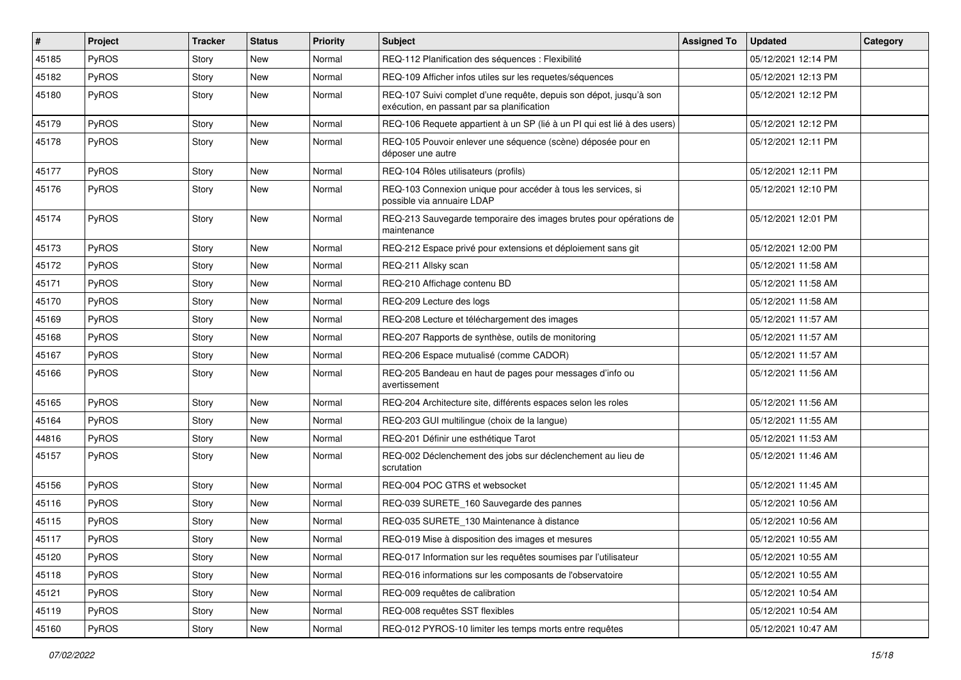| #     | Project      | <b>Tracker</b> | <b>Status</b> | <b>Priority</b> | <b>Subject</b>                                                                                                   | <b>Assigned To</b> | <b>Updated</b>      | Category |
|-------|--------------|----------------|---------------|-----------------|------------------------------------------------------------------------------------------------------------------|--------------------|---------------------|----------|
| 45185 | PyROS        | Story          | <b>New</b>    | Normal          | REQ-112 Planification des séquences : Flexibilité                                                                |                    | 05/12/2021 12:14 PM |          |
| 45182 | PyROS        | Story          | New           | Normal          | REQ-109 Afficher infos utiles sur les requetes/séquences                                                         |                    | 05/12/2021 12:13 PM |          |
| 45180 | PyROS        | Story          | New           | Normal          | REQ-107 Suivi complet d'une requête, depuis son dépot, jusqu'à son<br>exécution, en passant par sa planification |                    | 05/12/2021 12:12 PM |          |
| 45179 | PyROS        | Story          | <b>New</b>    | Normal          | REQ-106 Requete appartient à un SP (lié à un PI qui est lié à des users)                                         |                    | 05/12/2021 12:12 PM |          |
| 45178 | PyROS        | Story          | New           | Normal          | REQ-105 Pouvoir enlever une séquence (scène) déposée pour en<br>déposer une autre                                |                    | 05/12/2021 12:11 PM |          |
| 45177 | PyROS        | Story          | New           | Normal          | REQ-104 Rôles utilisateurs (profils)                                                                             |                    | 05/12/2021 12:11 PM |          |
| 45176 | PyROS        | Story          | New           | Normal          | REQ-103 Connexion unique pour accéder à tous les services, si<br>possible via annuaire LDAP                      |                    | 05/12/2021 12:10 PM |          |
| 45174 | PyROS        | Story          | New           | Normal          | REQ-213 Sauvegarde temporaire des images brutes pour opérations de<br>maintenance                                |                    | 05/12/2021 12:01 PM |          |
| 45173 | PyROS        | Story          | <b>New</b>    | Normal          | REQ-212 Espace privé pour extensions et déploiement sans git                                                     |                    | 05/12/2021 12:00 PM |          |
| 45172 | <b>PyROS</b> | Story          | New           | Normal          | REQ-211 Allsky scan                                                                                              |                    | 05/12/2021 11:58 AM |          |
| 45171 | PyROS        | Story          | New           | Normal          | REQ-210 Affichage contenu BD                                                                                     |                    | 05/12/2021 11:58 AM |          |
| 45170 | PyROS        | Story          | New           | Normal          | REQ-209 Lecture des logs                                                                                         |                    | 05/12/2021 11:58 AM |          |
| 45169 | PyROS        | Story          | <b>New</b>    | Normal          | REQ-208 Lecture et téléchargement des images                                                                     |                    | 05/12/2021 11:57 AM |          |
| 45168 | PyROS        | Story          | New           | Normal          | REQ-207 Rapports de synthèse, outils de monitoring                                                               |                    | 05/12/2021 11:57 AM |          |
| 45167 | PyROS        | Story          | <b>New</b>    | Normal          | REQ-206 Espace mutualisé (comme CADOR)                                                                           |                    | 05/12/2021 11:57 AM |          |
| 45166 | PyROS        | Story          | New           | Normal          | REQ-205 Bandeau en haut de pages pour messages d'info ou<br>avertissement                                        |                    | 05/12/2021 11:56 AM |          |
| 45165 | PyROS        | Story          | New           | Normal          | REQ-204 Architecture site, différents espaces selon les roles                                                    |                    | 05/12/2021 11:56 AM |          |
| 45164 | PyROS        | Story          | <b>New</b>    | Normal          | REQ-203 GUI multilingue (choix de la langue)                                                                     |                    | 05/12/2021 11:55 AM |          |
| 44816 | PyROS        | Story          | New           | Normal          | REQ-201 Définir une esthétique Tarot                                                                             |                    | 05/12/2021 11:53 AM |          |
| 45157 | PyROS        | Story          | New           | Normal          | REQ-002 Déclenchement des jobs sur déclenchement au lieu de<br>scrutation                                        |                    | 05/12/2021 11:46 AM |          |
| 45156 | PyROS        | Story          | New           | Normal          | REQ-004 POC GTRS et websocket                                                                                    |                    | 05/12/2021 11:45 AM |          |
| 45116 | PyROS        | Story          | New           | Normal          | REQ-039 SURETE 160 Sauvegarde des pannes                                                                         |                    | 05/12/2021 10:56 AM |          |
| 45115 | PyROS        | Story          | New           | Normal          | REQ-035 SURETE_130 Maintenance à distance                                                                        |                    | 05/12/2021 10:56 AM |          |
| 45117 | PyROS        | Story          | New           | Normal          | REQ-019 Mise à disposition des images et mesures                                                                 |                    | 05/12/2021 10:55 AM |          |
| 45120 | PyROS        | Story          | New           | Normal          | REQ-017 Information sur les requêtes soumises par l'utilisateur                                                  |                    | 05/12/2021 10:55 AM |          |
| 45118 | PyROS        | Story          | New           | Normal          | REQ-016 informations sur les composants de l'observatoire                                                        |                    | 05/12/2021 10:55 AM |          |
| 45121 | PyROS        | Story          | New           | Normal          | REQ-009 requêtes de calibration                                                                                  |                    | 05/12/2021 10:54 AM |          |
| 45119 | PyROS        | Story          | New           | Normal          | REQ-008 requêtes SST flexibles                                                                                   |                    | 05/12/2021 10:54 AM |          |
| 45160 | PyROS        | Story          | New           | Normal          | REQ-012 PYROS-10 limiter les temps morts entre requêtes                                                          |                    | 05/12/2021 10:47 AM |          |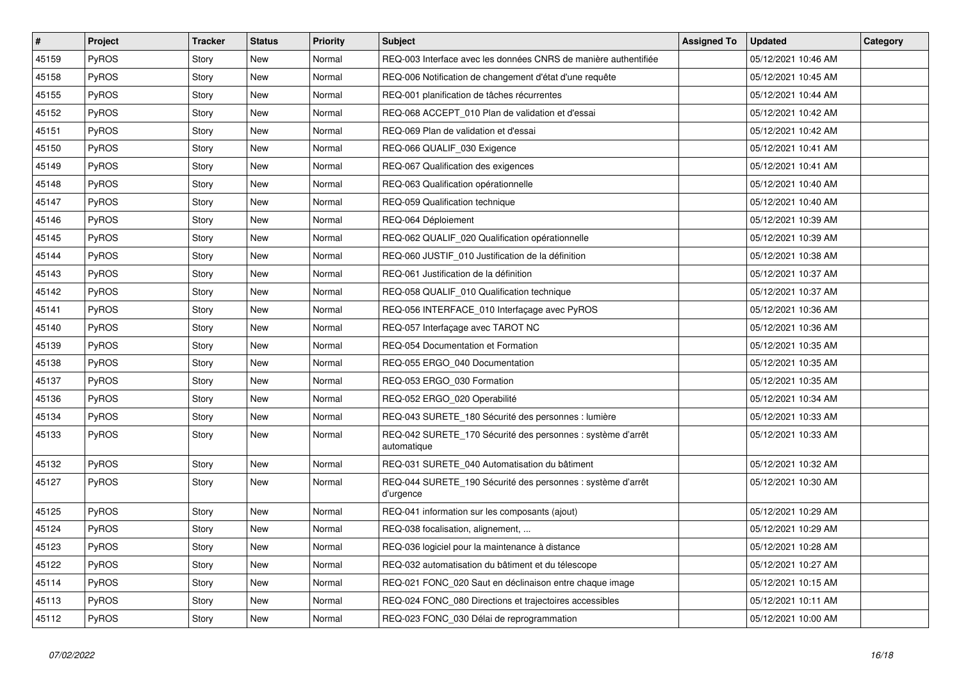| $\vert$ # | Project      | <b>Tracker</b> | <b>Status</b> | <b>Priority</b> | <b>Subject</b>                                                             | <b>Assigned To</b> | <b>Updated</b>      | Category |
|-----------|--------------|----------------|---------------|-----------------|----------------------------------------------------------------------------|--------------------|---------------------|----------|
| 45159     | <b>PyROS</b> | Story          | <b>New</b>    | Normal          | REQ-003 Interface avec les données CNRS de manière authentifiée            |                    | 05/12/2021 10:46 AM |          |
| 45158     | <b>PyROS</b> | Story          | <b>New</b>    | Normal          | REQ-006 Notification de changement d'état d'une requête                    |                    | 05/12/2021 10:45 AM |          |
| 45155     | <b>PyROS</b> | Story          | New           | Normal          | REQ-001 planification de tâches récurrentes                                |                    | 05/12/2021 10:44 AM |          |
| 45152     | <b>PyROS</b> | Story          | New           | Normal          | REQ-068 ACCEPT 010 Plan de validation et d'essai                           |                    | 05/12/2021 10:42 AM |          |
| 45151     | <b>PyROS</b> | Story          | New           | Normal          | REQ-069 Plan de validation et d'essai                                      |                    | 05/12/2021 10:42 AM |          |
| 45150     | <b>PyROS</b> | Story          | New           | Normal          | REQ-066 QUALIF_030 Exigence                                                |                    | 05/12/2021 10:41 AM |          |
| 45149     | <b>PyROS</b> | Story          | New           | Normal          | REQ-067 Qualification des exigences                                        |                    | 05/12/2021 10:41 AM |          |
| 45148     | <b>PyROS</b> | Story          | New           | Normal          | REQ-063 Qualification opérationnelle                                       |                    | 05/12/2021 10:40 AM |          |
| 45147     | <b>PyROS</b> | Story          | New           | Normal          | REQ-059 Qualification technique                                            |                    | 05/12/2021 10:40 AM |          |
| 45146     | PyROS        | Story          | New           | Normal          | REQ-064 Déploiement                                                        |                    | 05/12/2021 10:39 AM |          |
| 45145     | PyROS        | Story          | New           | Normal          | REQ-062 QUALIF_020 Qualification opérationnelle                            |                    | 05/12/2021 10:39 AM |          |
| 45144     | PyROS        | Story          | New           | Normal          | REQ-060 JUSTIF_010 Justification de la définition                          |                    | 05/12/2021 10:38 AM |          |
| 45143     | <b>PyROS</b> | Story          | New           | Normal          | REQ-061 Justification de la définition                                     |                    | 05/12/2021 10:37 AM |          |
| 45142     | <b>PyROS</b> | Story          | New           | Normal          | REQ-058 QUALIF 010 Qualification technique                                 |                    | 05/12/2021 10:37 AM |          |
| 45141     | <b>PyROS</b> | Story          | New           | Normal          | REQ-056 INTERFACE_010 Interfaçage avec PyROS                               |                    | 05/12/2021 10:36 AM |          |
| 45140     | <b>PyROS</b> | Story          | New           | Normal          | REQ-057 Interfaçage avec TAROT NC                                          |                    | 05/12/2021 10:36 AM |          |
| 45139     | <b>PyROS</b> | Story          | New           | Normal          | REQ-054 Documentation et Formation                                         |                    | 05/12/2021 10:35 AM |          |
| 45138     | PyROS        | Story          | New           | Normal          | REQ-055 ERGO_040 Documentation                                             |                    | 05/12/2021 10:35 AM |          |
| 45137     | PyROS        | Story          | New           | Normal          | REQ-053 ERGO_030 Formation                                                 |                    | 05/12/2021 10:35 AM |          |
| 45136     | PyROS        | Story          | New           | Normal          | REQ-052 ERGO_020 Operabilité                                               |                    | 05/12/2021 10:34 AM |          |
| 45134     | PyROS        | Story          | New           | Normal          | REQ-043 SURETE_180 Sécurité des personnes : lumière                        |                    | 05/12/2021 10:33 AM |          |
| 45133     | <b>PyROS</b> | Story          | New           | Normal          | REQ-042 SURETE 170 Sécurité des personnes : système d'arrêt<br>automatique |                    | 05/12/2021 10:33 AM |          |
| 45132     | <b>PyROS</b> | Story          | New           | Normal          | REQ-031 SURETE 040 Automatisation du bâtiment                              |                    | 05/12/2021 10:32 AM |          |
| 45127     | <b>PyROS</b> | Story          | New           | Normal          | REQ-044 SURETE 190 Sécurité des personnes : système d'arrêt<br>d'urgence   |                    | 05/12/2021 10:30 AM |          |
| 45125     | <b>PyROS</b> | Story          | New           | Normal          | REQ-041 information sur les composants (ajout)                             |                    | 05/12/2021 10:29 AM |          |
| 45124     | <b>PyROS</b> | Story          | New           | Normal          | REQ-038 focalisation, alignement,                                          |                    | 05/12/2021 10:29 AM |          |
| 45123     | <b>PyROS</b> | Story          | New           | Normal          | REQ-036 logiciel pour la maintenance à distance                            |                    | 05/12/2021 10:28 AM |          |
| 45122     | <b>PyROS</b> | Story          | New           | Normal          | REQ-032 automatisation du bâtiment et du télescope                         |                    | 05/12/2021 10:27 AM |          |
| 45114     | <b>PyROS</b> | Story          | New           | Normal          | REQ-021 FONC 020 Saut en déclinaison entre chaque image                    |                    | 05/12/2021 10:15 AM |          |
| 45113     | <b>PyROS</b> | Story          | New           | Normal          | REQ-024 FONC_080 Directions et trajectoires accessibles                    |                    | 05/12/2021 10:11 AM |          |
| 45112     | PyROS        | Story          | New           | Normal          | REQ-023 FONC_030 Délai de reprogrammation                                  |                    | 05/12/2021 10:00 AM |          |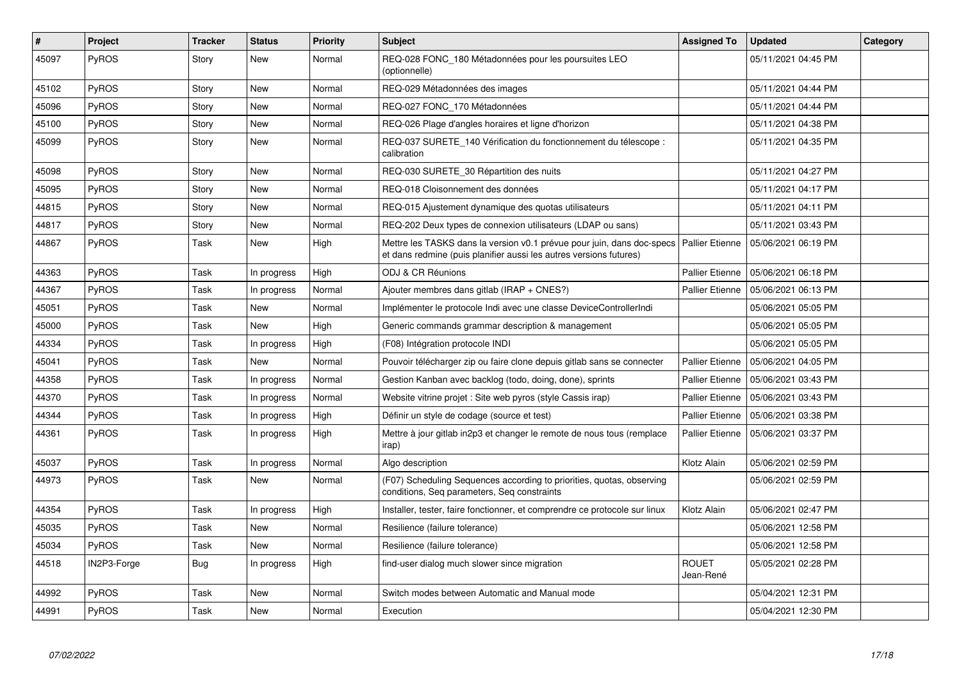| $\vert$ # | Project      | Tracker    | <b>Status</b> | <b>Priority</b> | <b>Subject</b>                                                                                                                               | <b>Assigned To</b>        | <b>Updated</b>      | Category |
|-----------|--------------|------------|---------------|-----------------|----------------------------------------------------------------------------------------------------------------------------------------------|---------------------------|---------------------|----------|
| 45097     | <b>PyROS</b> | Story      | New           | Normal          | REQ-028 FONC_180 Métadonnées pour les poursuites LEO<br>(optionnelle)                                                                        |                           | 05/11/2021 04:45 PM |          |
| 45102     | PyROS        | Story      | New           | Normal          | REQ-029 Métadonnées des images                                                                                                               |                           | 05/11/2021 04:44 PM |          |
| 45096     | <b>PyROS</b> | Story      | New           | Normal          | REQ-027 FONC 170 Métadonnées                                                                                                                 |                           | 05/11/2021 04:44 PM |          |
| 45100     | <b>PyROS</b> | Story      | New           | Normal          | REQ-026 Plage d'angles horaires et ligne d'horizon                                                                                           |                           | 05/11/2021 04:38 PM |          |
| 45099     | <b>PyROS</b> | Story      | New           | Normal          | REQ-037 SURETE_140 Vérification du fonctionnement du télescope :<br>calibration                                                              |                           | 05/11/2021 04:35 PM |          |
| 45098     | <b>PyROS</b> | Story      | New           | Normal          | REQ-030 SURETE 30 Répartition des nuits                                                                                                      |                           | 05/11/2021 04:27 PM |          |
| 45095     | <b>PyROS</b> | Story      | New           | Normal          | REQ-018 Cloisonnement des données                                                                                                            |                           | 05/11/2021 04:17 PM |          |
| 44815     | <b>PyROS</b> | Story      | New           | Normal          | REQ-015 Ajustement dynamique des quotas utilisateurs                                                                                         |                           | 05/11/2021 04:11 PM |          |
| 44817     | <b>PyROS</b> | Story      | New           | Normal          | REQ-202 Deux types de connexion utilisateurs (LDAP ou sans)                                                                                  |                           | 05/11/2021 03:43 PM |          |
| 44867     | <b>PyROS</b> | Task       | New           | High            | Mettre les TASKS dans la version v0.1 prévue pour juin, dans doc-specs<br>et dans redmine (puis planifier aussi les autres versions futures) | Pallier Etienne           | 05/06/2021 06:19 PM |          |
| 44363     | <b>PyROS</b> | Task       | In progress   | High            | ODJ & CR Réunions                                                                                                                            | <b>Pallier Etienne</b>    | 05/06/2021 06:18 PM |          |
| 44367     | PyROS        | Task       | In progress   | Normal          | Ajouter membres dans gitlab (IRAP + $CNES$ ?)                                                                                                | <b>Pallier Etienne</b>    | 05/06/2021 06:13 PM |          |
| 45051     | <b>PyROS</b> | Task       | New           | Normal          | Implémenter le protocole Indi avec une classe DeviceControllerIndi                                                                           |                           | 05/06/2021 05:05 PM |          |
| 45000     | PyROS        | Task       | <b>New</b>    | High            | Generic commands grammar description & management                                                                                            |                           | 05/06/2021 05:05 PM |          |
| 44334     | <b>PyROS</b> | Task       | In progress   | High            | (F08) Intégration protocole INDI                                                                                                             |                           | 05/06/2021 05:05 PM |          |
| 45041     | PyROS        | Task       | New           | Normal          | Pouvoir télécharger zip ou faire clone depuis gitlab sans se connecter                                                                       | <b>Pallier Etienne</b>    | 05/06/2021 04:05 PM |          |
| 44358     | <b>PyROS</b> | Task       | In progress   | Normal          | Gestion Kanban avec backlog (todo, doing, done), sprints                                                                                     | <b>Pallier Etienne</b>    | 05/06/2021 03:43 PM |          |
| 44370     | <b>PyROS</b> | Task       | In progress   | Normal          | Website vitrine projet : Site web pyros (style Cassis irap)                                                                                  | <b>Pallier Etienne</b>    | 05/06/2021 03:43 PM |          |
| 44344     | <b>PyROS</b> | Task       | In progress   | High            | Définir un style de codage (source et test)                                                                                                  | Pallier Etienne           | 05/06/2021 03:38 PM |          |
| 44361     | <b>PyROS</b> | Task       | In progress   | High            | Mettre à jour gitlab in2p3 et changer le remote de nous tous (remplace<br>irap)                                                              | <b>Pallier Etienne</b>    | 05/06/2021 03:37 PM |          |
| 45037     | <b>PyROS</b> | Task       | In progress   | Normal          | Algo description                                                                                                                             | Klotz Alain               | 05/06/2021 02:59 PM |          |
| 44973     | <b>PyROS</b> | Task       | <b>New</b>    | Normal          | (F07) Scheduling Sequences according to priorities, quotas, observing<br>conditions, Seq parameters, Seq constraints                         |                           | 05/06/2021 02:59 PM |          |
| 44354     | PyROS        | Task       | In progress   | High            | Installer, tester, faire fonctionner, et comprendre ce protocole sur linux                                                                   | Klotz Alain               | 05/06/2021 02:47 PM |          |
| 45035     | <b>PyROS</b> | Task       | New           | Normal          | Resilience (failure tolerance)                                                                                                               |                           | 05/06/2021 12:58 PM |          |
| 45034     | <b>PyROS</b> | Task       | New           | Normal          | Resilience (failure tolerance)                                                                                                               |                           | 05/06/2021 12:58 PM |          |
| 44518     | IN2P3-Forge  | <b>Bug</b> | In progress   | High            | find-user dialog much slower since migration                                                                                                 | <b>ROUET</b><br>Jean-René | 05/05/2021 02:28 PM |          |
| 44992     | PyROS        | Task       | New           | Normal          | Switch modes between Automatic and Manual mode                                                                                               |                           | 05/04/2021 12:31 PM |          |
| 44991     | PyROS        | Task       | New           | Normal          | Execution                                                                                                                                    |                           | 05/04/2021 12:30 PM |          |